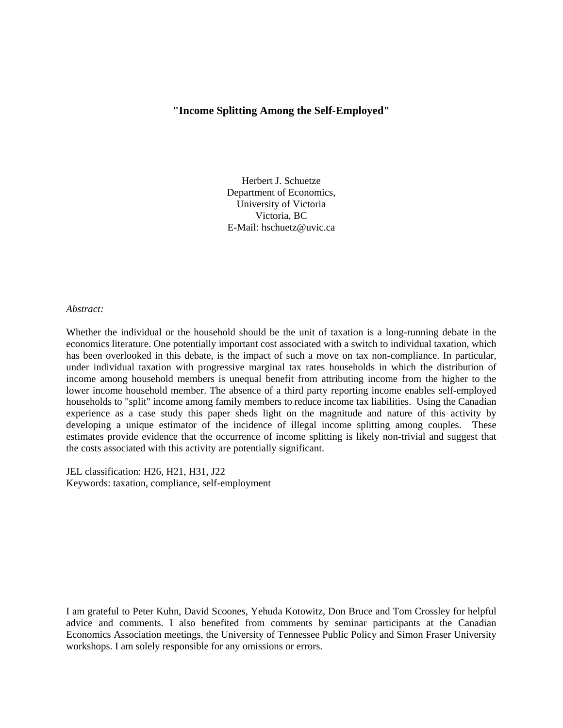### **"Income Splitting Among the Self-Employed"**

Herbert J. Schuetze Department of Economics, University of Victoria Victoria, BC E-Mail: hschuetz@uvic.ca

*Abstract:*

Whether the individual or the household should be the unit of taxation is a long-running debate in the economics literature. One potentially important cost associated with a switch to individual taxation, which has been overlooked in this debate, is the impact of such a move on tax non-compliance. In particular, under individual taxation with progressive marginal tax rates households in which the distribution of income among household members is unequal benefit from attributing income from the higher to the lower income household member. The absence of a third party reporting income enables self-employed households to "split" income among family members to reduce income tax liabilities. Using the Canadian experience as a case study this paper sheds light on the magnitude and nature of this activity by developing a unique estimator of the incidence of illegal income splitting among couples. These estimates provide evidence that the occurrence of income splitting is likely non-trivial and suggest that the costs associated with this activity are potentially significant.

JEL classification: H26, H21, H31, J22 Keywords: taxation, compliance, self-employment

I am grateful to Peter Kuhn, David Scoones, Yehuda Kotowitz, Don Bruce and Tom Crossley for helpful advice and comments. I also benefited from comments by seminar participants at the Canadian Economics Association meetings, the University of Tennessee Public Policy and Simon Fraser University workshops. I am solely responsible for any omissions or errors.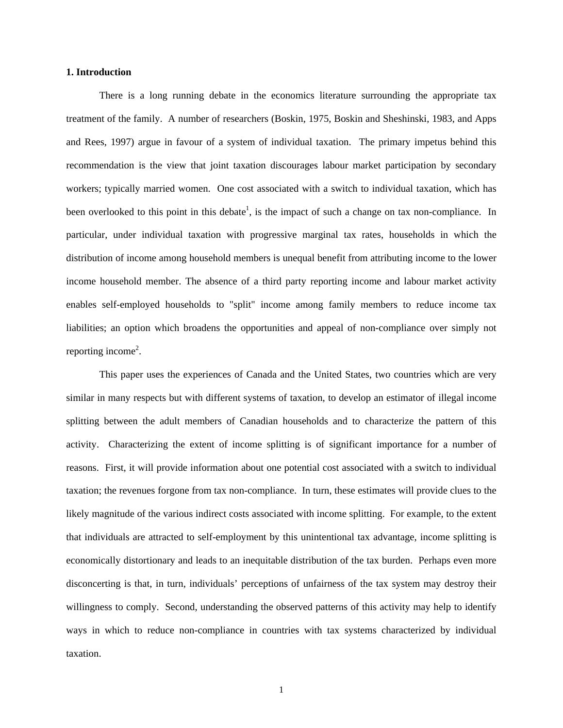### **1. Introduction**

There is a long running debate in the economics literature surrounding the appropriate tax treatment of the family. A number of researchers (Boskin, 1975, Boskin and Sheshinski, 1983, and Apps and Rees, 1997) argue in favour of a system of individual taxation. The primary impetus behind this recommendation is the view that joint taxation discourages labour market participation by secondary workers; typically married women. One cost associated with a switch to individual taxation, which has been overlooked to this point in this debate<sup>1</sup>, is the impact of such a change on tax non-compliance. In particular, under individual taxation with progressive marginal tax rates, households in which the distribution of income among household members is unequal benefit from attributing income to the lower income household member. The absence of a third party reporting income and labour market activity enables self-employed households to "split" income among family members to reduce income tax liabilities; an option which broadens the opportunities and appeal of non-compliance over simply not reporting income<sup>2</sup>.

This paper uses the experiences of Canada and the United States, two countries which are very similar in many respects but with different systems of taxation, to develop an estimator of illegal income splitting between the adult members of Canadian households and to characterize the pattern of this activity. Characterizing the extent of income splitting is of significant importance for a number of reasons. First, it will provide information about one potential cost associated with a switch to individual taxation; the revenues forgone from tax non-compliance. In turn, these estimates will provide clues to the likely magnitude of the various indirect costs associated with income splitting. For example, to the extent that individuals are attracted to self-employment by this unintentional tax advantage, income splitting is economically distortionary and leads to an inequitable distribution of the tax burden. Perhaps even more disconcerting is that, in turn, individuals' perceptions of unfairness of the tax system may destroy their willingness to comply. Second, understanding the observed patterns of this activity may help to identify ways in which to reduce non-compliance in countries with tax systems characterized by individual taxation.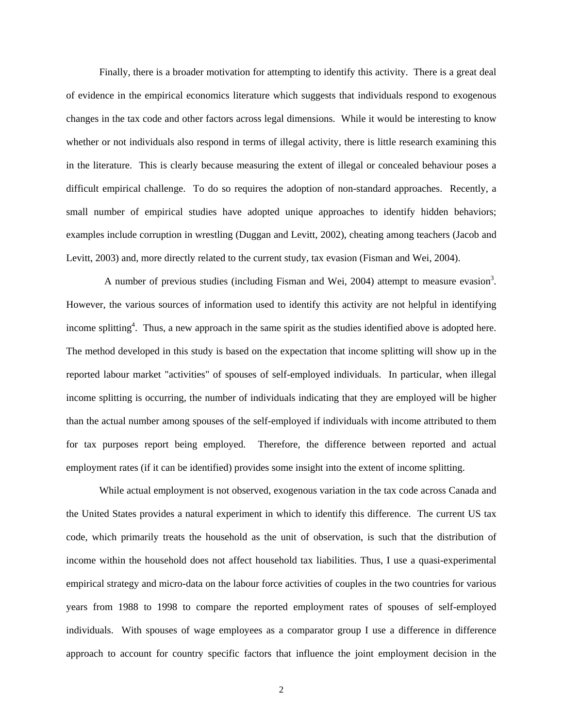Finally, there is a broader motivation for attempting to identify this activity. There is a great deal of evidence in the empirical economics literature which suggests that individuals respond to exogenous changes in the tax code and other factors across legal dimensions. While it would be interesting to know whether or not individuals also respond in terms of illegal activity, there is little research examining this in the literature. This is clearly because measuring the extent of illegal or concealed behaviour poses a difficult empirical challenge. To do so requires the adoption of non-standard approaches. Recently, a small number of empirical studies have adopted unique approaches to identify hidden behaviors; examples include corruption in wrestling (Duggan and Levitt, 2002), cheating among teachers (Jacob and Levitt, 2003) and, more directly related to the current study, tax evasion (Fisman and Wei, 2004).

A number of previous studies (including Fisman and Wei, 2004) attempt to measure evasion<sup>3</sup>. However, the various sources of information used to identify this activity are not helpful in identifying income splitting<sup>4</sup>. Thus, a new approach in the same spirit as the studies identified above is adopted here. The method developed in this study is based on the expectation that income splitting will show up in the reported labour market "activities" of spouses of self-employed individuals. In particular, when illegal income splitting is occurring, the number of individuals indicating that they are employed will be higher than the actual number among spouses of the self-employed if individuals with income attributed to them for tax purposes report being employed. Therefore, the difference between reported and actual employment rates (if it can be identified) provides some insight into the extent of income splitting.

While actual employment is not observed, exogenous variation in the tax code across Canada and the United States provides a natural experiment in which to identify this difference. The current US tax code, which primarily treats the household as the unit of observation, is such that the distribution of income within the household does not affect household tax liabilities. Thus, I use a quasi-experimental empirical strategy and micro-data on the labour force activities of couples in the two countries for various years from 1988 to 1998 to compare the reported employment rates of spouses of self-employed individuals. With spouses of wage employees as a comparator group I use a difference in difference approach to account for country specific factors that influence the joint employment decision in the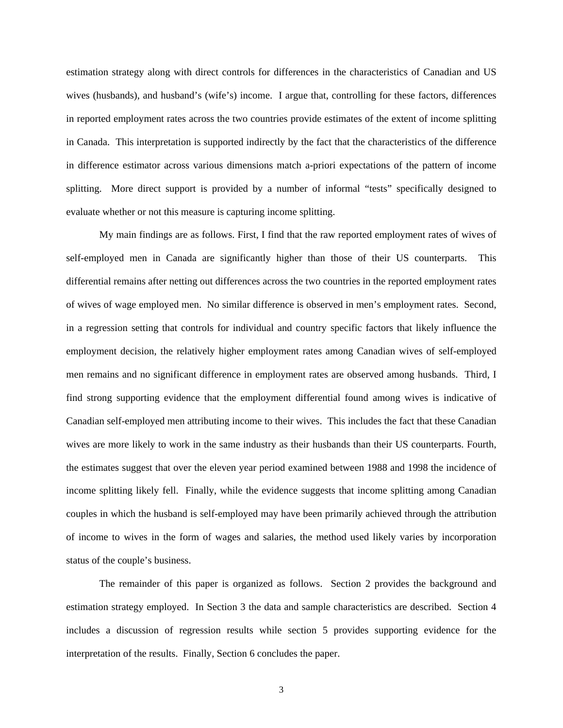estimation strategy along with direct controls for differences in the characteristics of Canadian and US wives (husbands), and husband's (wife's) income. I argue that, controlling for these factors, differences in reported employment rates across the two countries provide estimates of the extent of income splitting in Canada. This interpretation is supported indirectly by the fact that the characteristics of the difference in difference estimator across various dimensions match a-priori expectations of the pattern of income splitting. More direct support is provided by a number of informal "tests" specifically designed to evaluate whether or not this measure is capturing income splitting.

My main findings are as follows. First, I find that the raw reported employment rates of wives of self-employed men in Canada are significantly higher than those of their US counterparts. This differential remains after netting out differences across the two countries in the reported employment rates of wives of wage employed men. No similar difference is observed in men's employment rates. Second, in a regression setting that controls for individual and country specific factors that likely influence the employment decision, the relatively higher employment rates among Canadian wives of self-employed men remains and no significant difference in employment rates are observed among husbands. Third, I find strong supporting evidence that the employment differential found among wives is indicative of Canadian self-employed men attributing income to their wives. This includes the fact that these Canadian wives are more likely to work in the same industry as their husbands than their US counterparts. Fourth, the estimates suggest that over the eleven year period examined between 1988 and 1998 the incidence of income splitting likely fell. Finally, while the evidence suggests that income splitting among Canadian couples in which the husband is self-employed may have been primarily achieved through the attribution of income to wives in the form of wages and salaries, the method used likely varies by incorporation status of the couple's business.

 The remainder of this paper is organized as follows. Section 2 provides the background and estimation strategy employed. In Section 3 the data and sample characteristics are described. Section 4 includes a discussion of regression results while section 5 provides supporting evidence for the interpretation of the results. Finally, Section 6 concludes the paper.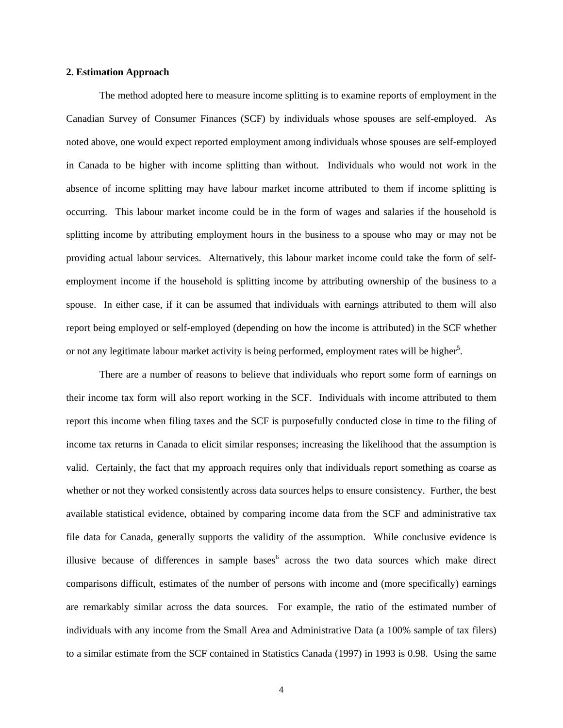### **2. Estimation Approach**

The method adopted here to measure income splitting is to examine reports of employment in the Canadian Survey of Consumer Finances (SCF) by individuals whose spouses are self-employed. As noted above, one would expect reported employment among individuals whose spouses are self-employed in Canada to be higher with income splitting than without. Individuals who would not work in the absence of income splitting may have labour market income attributed to them if income splitting is occurring. This labour market income could be in the form of wages and salaries if the household is splitting income by attributing employment hours in the business to a spouse who may or may not be providing actual labour services. Alternatively, this labour market income could take the form of selfemployment income if the household is splitting income by attributing ownership of the business to a spouse. In either case, if it can be assumed that individuals with earnings attributed to them will also report being employed or self-employed (depending on how the income is attributed) in the SCF whether or not any legitimate labour market activity is being performed, employment rates will be higher<sup>5</sup>.

There are a number of reasons to believe that individuals who report some form of earnings on their income tax form will also report working in the SCF. Individuals with income attributed to them report this income when filing taxes and the SCF is purposefully conducted close in time to the filing of income tax returns in Canada to elicit similar responses; increasing the likelihood that the assumption is valid. Certainly, the fact that my approach requires only that individuals report something as coarse as whether or not they worked consistently across data sources helps to ensure consistency. Further, the best available statistical evidence, obtained by comparing income data from the SCF and administrative tax file data for Canada, generally supports the validity of the assumption. While conclusive evidence is illusive because of differences in sample bases<sup>6</sup> across the two data sources which make direct comparisons difficult, estimates of the number of persons with income and (more specifically) earnings are remarkably similar across the data sources. For example, the ratio of the estimated number of individuals with any income from the Small Area and Administrative Data (a 100% sample of tax filers) to a similar estimate from the SCF contained in Statistics Canada (1997) in 1993 is 0.98. Using the same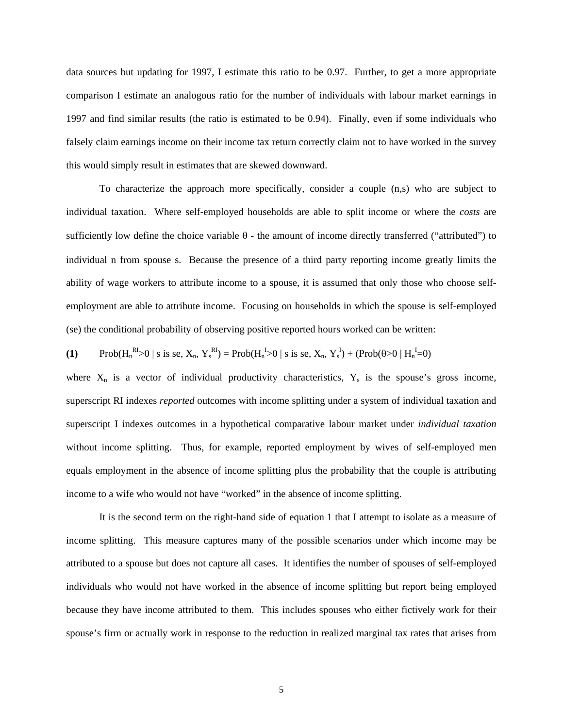data sources but updating for 1997, I estimate this ratio to be 0.97. Further, to get a more appropriate comparison I estimate an analogous ratio for the number of individuals with labour market earnings in 1997 and find similar results (the ratio is estimated to be 0.94). Finally, even if some individuals who falsely claim earnings income on their income tax return correctly claim not to have worked in the survey this would simply result in estimates that are skewed downward.

To characterize the approach more specifically, consider a couple (n,s) who are subject to individual taxation. Where self-employed households are able to split income or where the *costs* are sufficiently low define the choice variable  $\theta$  - the amount of income directly transferred ("attributed") to individual n from spouse s. Because the presence of a third party reporting income greatly limits the ability of wage workers to attribute income to a spouse, it is assumed that only those who choose selfemployment are able to attribute income. Focusing on households in which the spouse is self-employed (se) the conditional probability of observing positive reported hours worked can be written:

(1) Prob(
$$
H_n^{RI} > 0
$$
) s is se,  $X_n$ ,  $Y_s^{RI}$ ) = Prob( $H_n^{I} > 0$ ) s is se,  $X_n$ ,  $Y_s^{I}$ ) + (Prob( $\theta > 0$ )  $H_n^{I} = 0$ )

where  $X_n$  is a vector of individual productivity characteristics,  $Y_s$  is the spouse's gross income, superscript RI indexes *reported* outcomes with income splitting under a system of individual taxation and superscript I indexes outcomes in a hypothetical comparative labour market under *individual taxation* without income splitting. Thus, for example, reported employment by wives of self-employed men equals employment in the absence of income splitting plus the probability that the couple is attributing income to a wife who would not have "worked" in the absence of income splitting.

It is the second term on the right-hand side of equation 1 that I attempt to isolate as a measure of income splitting. This measure captures many of the possible scenarios under which income may be attributed to a spouse but does not capture all cases. It identifies the number of spouses of self-employed individuals who would not have worked in the absence of income splitting but report being employed because they have income attributed to them. This includes spouses who either fictively work for their spouse's firm or actually work in response to the reduction in realized marginal tax rates that arises from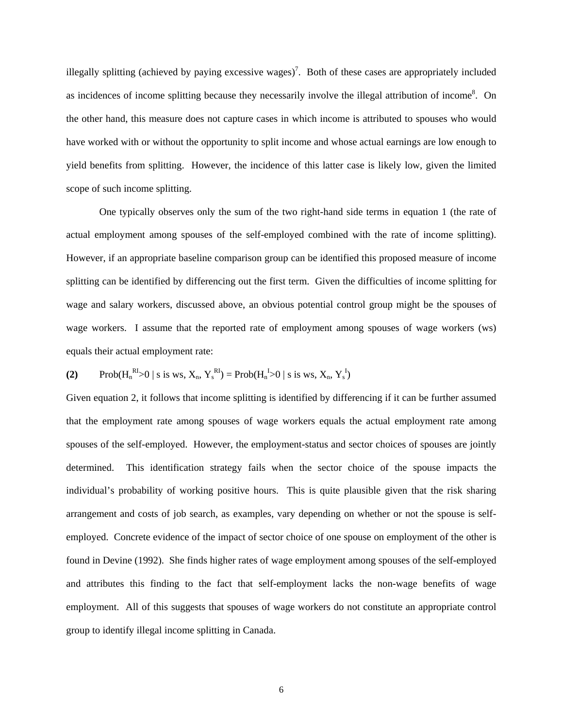illegally splitting (achieved by paying excessive wages)<sup>7</sup>. Both of these cases are appropriately included as incidences of income splitting because they necessarily involve the illegal attribution of income<sup>8</sup>. On the other hand, this measure does not capture cases in which income is attributed to spouses who would have worked with or without the opportunity to split income and whose actual earnings are low enough to yield benefits from splitting. However, the incidence of this latter case is likely low, given the limited scope of such income splitting.

One typically observes only the sum of the two right-hand side terms in equation 1 (the rate of actual employment among spouses of the self-employed combined with the rate of income splitting). However, if an appropriate baseline comparison group can be identified this proposed measure of income splitting can be identified by differencing out the first term. Given the difficulties of income splitting for wage and salary workers, discussed above, an obvious potential control group might be the spouses of wage workers. I assume that the reported rate of employment among spouses of wage workers (ws) equals their actual employment rate:

(2) Prob(
$$
H_n^{RI}
$$
>0 | s is ws,  $X_n$ ,  $Y_s^{RI}$ ) = Prob( $H_n^{I}$ >0 | s is ws,  $X_n$ ,  $Y_s^{I}$ )

Given equation 2, it follows that income splitting is identified by differencing if it can be further assumed that the employment rate among spouses of wage workers equals the actual employment rate among spouses of the self-employed. However, the employment-status and sector choices of spouses are jointly determined. This identification strategy fails when the sector choice of the spouse impacts the individual's probability of working positive hours. This is quite plausible given that the risk sharing arrangement and costs of job search, as examples, vary depending on whether or not the spouse is selfemployed. Concrete evidence of the impact of sector choice of one spouse on employment of the other is found in Devine (1992). She finds higher rates of wage employment among spouses of the self-employed and attributes this finding to the fact that self-employment lacks the non-wage benefits of wage employment. All of this suggests that spouses of wage workers do not constitute an appropriate control group to identify illegal income splitting in Canada.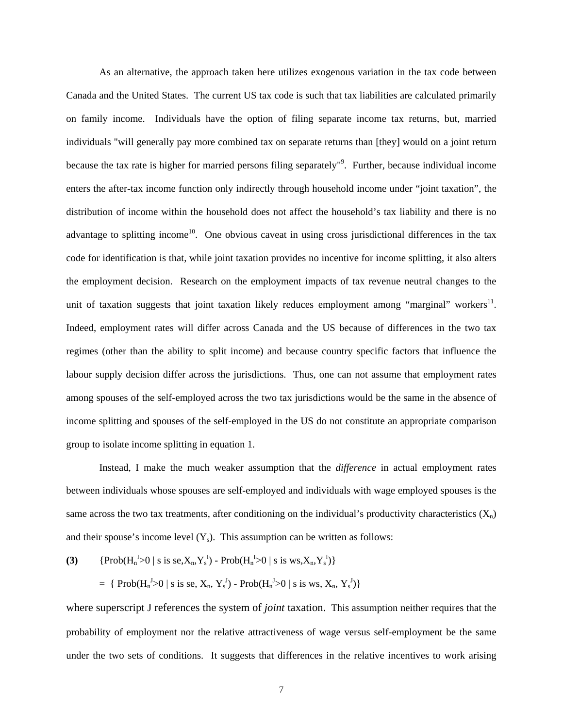As an alternative, the approach taken here utilizes exogenous variation in the tax code between Canada and the United States. The current US tax code is such that tax liabilities are calculated primarily on family income. Individuals have the option of filing separate income tax returns, but, married individuals "will generally pay more combined tax on separate returns than [they] would on a joint return because the tax rate is higher for married persons filing separately<sup>19</sup>. Further, because individual income enters the after-tax income function only indirectly through household income under "joint taxation", the distribution of income within the household does not affect the household's tax liability and there is no advantage to splitting income<sup>10</sup>. One obvious caveat in using cross jurisdictional differences in the tax code for identification is that, while joint taxation provides no incentive for income splitting, it also alters the employment decision. Research on the employment impacts of tax revenue neutral changes to the unit of taxation suggests that joint taxation likely reduces employment among "marginal" workers<sup>11</sup>. Indeed, employment rates will differ across Canada and the US because of differences in the two tax regimes (other than the ability to split income) and because country specific factors that influence the labour supply decision differ across the jurisdictions. Thus, one can not assume that employment rates among spouses of the self-employed across the two tax jurisdictions would be the same in the absence of income splitting and spouses of the self-employed in the US do not constitute an appropriate comparison group to isolate income splitting in equation 1.

Instead, I make the much weaker assumption that the *difference* in actual employment rates between individuals whose spouses are self-employed and individuals with wage employed spouses is the same across the two tax treatments, after conditioning on the individual's productivity characteristics  $(X_n)$ and their spouse's income level  $(Y_s)$ . This assumption can be written as follows:

**(3)** {Prob(Hn I >0 | s is se,Xn,Ys I ) - Prob(Hn I >0 | s is ws,Xn,Ys I )} = { Prob(Hn J >0 | s is se, Xn, Ys J ) - Prob(Hn J >0 | s is ws, Xn, Ys J )}

where superscript J references the system of *joint* taxation. This assumption neither requires that the probability of employment nor the relative attractiveness of wage versus self-employment be the same under the two sets of conditions. It suggests that differences in the relative incentives to work arising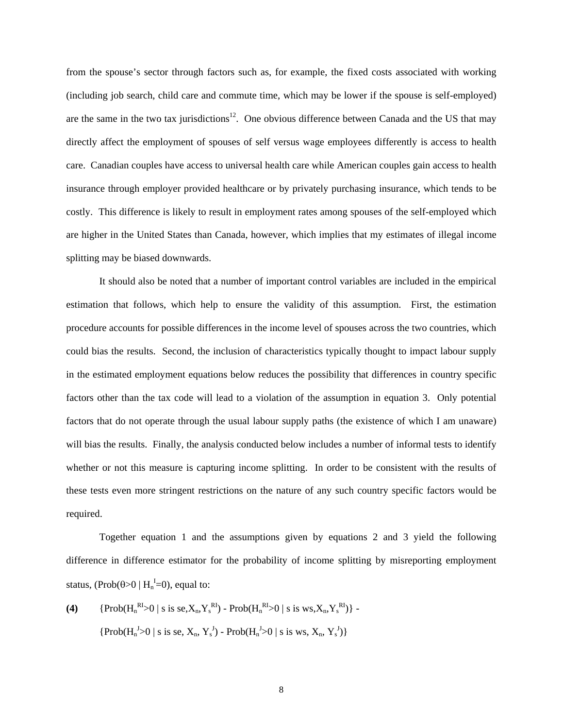from the spouse's sector through factors such as, for example, the fixed costs associated with working (including job search, child care and commute time, which may be lower if the spouse is self-employed) are the same in the two tax jurisdictions<sup>12</sup>. One obvious difference between Canada and the US that may directly affect the employment of spouses of self versus wage employees differently is access to health care. Canadian couples have access to universal health care while American couples gain access to health insurance through employer provided healthcare or by privately purchasing insurance, which tends to be costly. This difference is likely to result in employment rates among spouses of the self-employed which are higher in the United States than Canada, however, which implies that my estimates of illegal income splitting may be biased downwards.

It should also be noted that a number of important control variables are included in the empirical estimation that follows, which help to ensure the validity of this assumption. First, the estimation procedure accounts for possible differences in the income level of spouses across the two countries, which could bias the results. Second, the inclusion of characteristics typically thought to impact labour supply in the estimated employment equations below reduces the possibility that differences in country specific factors other than the tax code will lead to a violation of the assumption in equation 3. Only potential factors that do not operate through the usual labour supply paths (the existence of which I am unaware) will bias the results. Finally, the analysis conducted below includes a number of informal tests to identify whether or not this measure is capturing income splitting. In order to be consistent with the results of these tests even more stringent restrictions on the nature of any such country specific factors would be required.

Together equation 1 and the assumptions given by equations 2 and 3 yield the following difference in difference estimator for the probability of income splitting by misreporting employment status, (Prob( $\theta$ >0 | H<sub>n</sub><sup>I</sup>=0), equal to:

**(4)** {Prob(Hn RI>0 | s is se,Xn,Ys RI) - Prob(Hn RI>0 | s is ws,Xn,Ys RI)} - {Prob(Hn J >0 | s is se, Xn, Ys J ) - Prob(Hn J >0 | s is ws, Xn, Ys J )}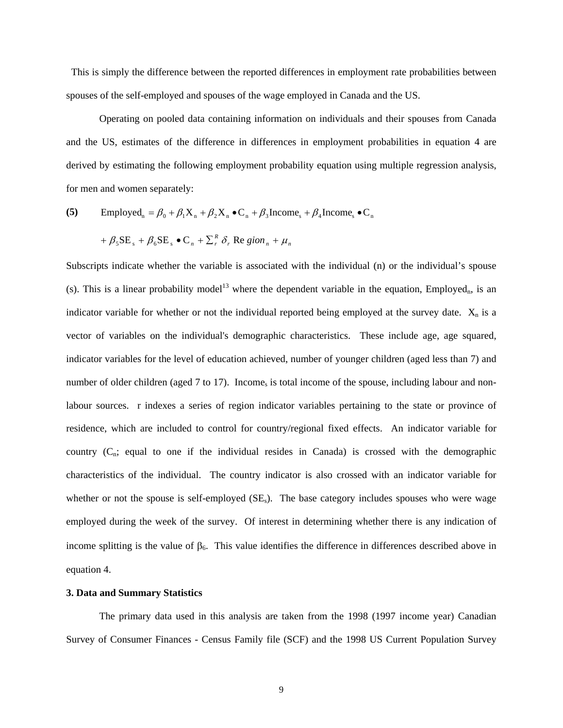This is simply the difference between the reported differences in employment rate probabilities between spouses of the self-employed and spouses of the wage employed in Canada and the US.

 Operating on pooled data containing information on individuals and their spouses from Canada and the US, estimates of the difference in differences in employment probabilities in equation 4 are derived by estimating the following employment probability equation using multiple regression analysis, for men and women separately:

(5) Emploved<sub>n</sub> = 
$$
\beta_0 + \beta_1 X_n + \beta_2 X_n \bullet C_n + \beta_3
$$
Income<sub>s</sub> +  $\beta_4$ Income<sub>s</sub>  $\bullet C_n$   
+  $\beta_5 SE_s + \beta_6 SE_s \bullet C_n + \sum_r^R \delta_r$  Re *gion<sub>n</sub>* +  $\mu_n$ 

Subscripts indicate whether the variable is associated with the individual (n) or the individual's spouse (s). This is a linear probability model<sup>13</sup> where the dependent variable in the equation, Employed<sub>n</sub>, is an indicator variable for whether or not the individual reported being employed at the survey date.  $X_n$  is a vector of variables on the individual's demographic characteristics. These include age, age squared, indicator variables for the level of education achieved, number of younger children (aged less than 7) and number of older children (aged 7 to 17). Income, is total income of the spouse, including labour and nonlabour sources. r indexes a series of region indicator variables pertaining to the state or province of residence, which are included to control for country/regional fixed effects. An indicator variable for country  $(C_n;$  equal to one if the individual resides in Canada) is crossed with the demographic characteristics of the individual. The country indicator is also crossed with an indicator variable for whether or not the spouse is self-employed  $(SE_s)$ . The base category includes spouses who were wage employed during the week of the survey. Of interest in determining whether there is any indication of income splitting is the value of  $\beta_6$ . This value identifies the difference in differences described above in equation 4.

### **3. Data and Summary Statistics**

 The primary data used in this analysis are taken from the 1998 (1997 income year) Canadian Survey of Consumer Finances - Census Family file (SCF) and the 1998 US Current Population Survey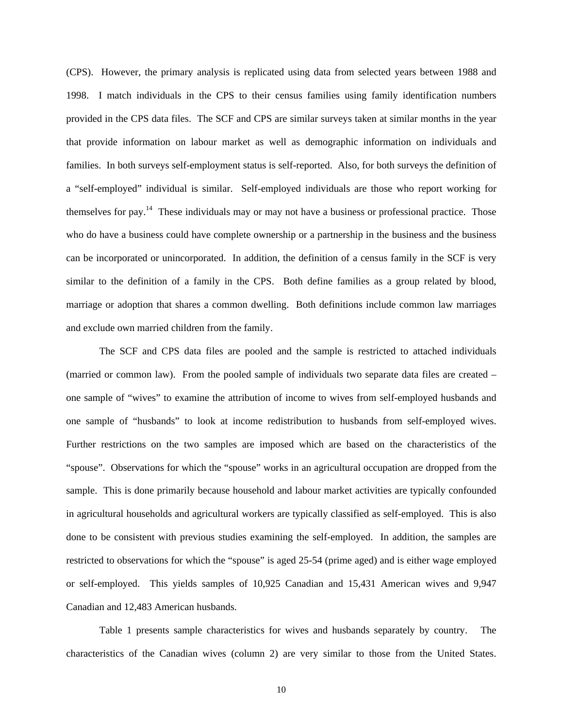(CPS). However, the primary analysis is replicated using data from selected years between 1988 and 1998. I match individuals in the CPS to their census families using family identification numbers provided in the CPS data files. The SCF and CPS are similar surveys taken at similar months in the year that provide information on labour market as well as demographic information on individuals and families. In both surveys self-employment status is self-reported. Also, for both surveys the definition of a "self-employed" individual is similar. Self-employed individuals are those who report working for themselves for pay.14 These individuals may or may not have a business or professional practice. Those who do have a business could have complete ownership or a partnership in the business and the business can be incorporated or unincorporated. In addition, the definition of a census family in the SCF is very similar to the definition of a family in the CPS. Both define families as a group related by blood, marriage or adoption that shares a common dwelling. Both definitions include common law marriages and exclude own married children from the family.

 The SCF and CPS data files are pooled and the sample is restricted to attached individuals (married or common law). From the pooled sample of individuals two separate data files are created – one sample of "wives" to examine the attribution of income to wives from self-employed husbands and one sample of "husbands" to look at income redistribution to husbands from self-employed wives. Further restrictions on the two samples are imposed which are based on the characteristics of the "spouse". Observations for which the "spouse" works in an agricultural occupation are dropped from the sample. This is done primarily because household and labour market activities are typically confounded in agricultural households and agricultural workers are typically classified as self-employed. This is also done to be consistent with previous studies examining the self-employed. In addition, the samples are restricted to observations for which the "spouse" is aged 25-54 (prime aged) and is either wage employed or self-employed. This yields samples of 10,925 Canadian and 15,431 American wives and 9,947 Canadian and 12,483 American husbands.

 Table 1 presents sample characteristics for wives and husbands separately by country. The characteristics of the Canadian wives (column 2) are very similar to those from the United States.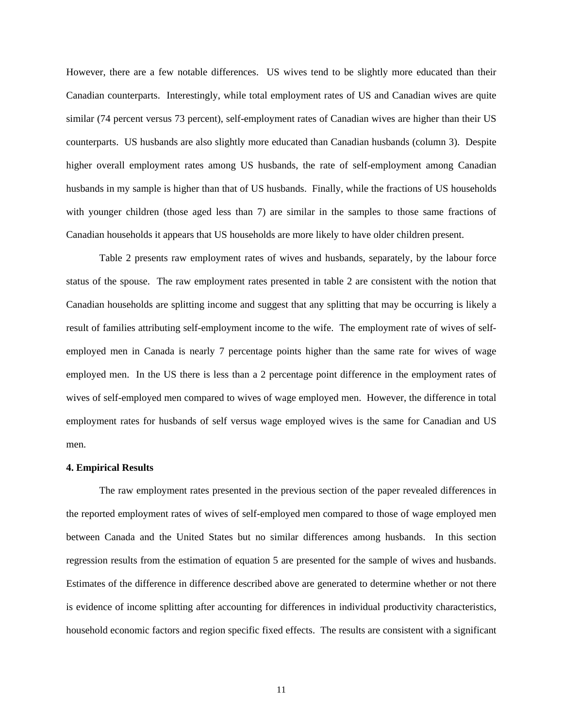However, there are a few notable differences. US wives tend to be slightly more educated than their Canadian counterparts. Interestingly, while total employment rates of US and Canadian wives are quite similar (74 percent versus 73 percent), self-employment rates of Canadian wives are higher than their US counterparts. US husbands are also slightly more educated than Canadian husbands (column 3). Despite higher overall employment rates among US husbands, the rate of self-employment among Canadian husbands in my sample is higher than that of US husbands. Finally, while the fractions of US households with younger children (those aged less than 7) are similar in the samples to those same fractions of Canadian households it appears that US households are more likely to have older children present.

 Table 2 presents raw employment rates of wives and husbands, separately, by the labour force status of the spouse. The raw employment rates presented in table 2 are consistent with the notion that Canadian households are splitting income and suggest that any splitting that may be occurring is likely a result of families attributing self-employment income to the wife. The employment rate of wives of selfemployed men in Canada is nearly 7 percentage points higher than the same rate for wives of wage employed men. In the US there is less than a 2 percentage point difference in the employment rates of wives of self-employed men compared to wives of wage employed men. However, the difference in total employment rates for husbands of self versus wage employed wives is the same for Canadian and US men.

### **4. Empirical Results**

The raw employment rates presented in the previous section of the paper revealed differences in the reported employment rates of wives of self-employed men compared to those of wage employed men between Canada and the United States but no similar differences among husbands. In this section regression results from the estimation of equation 5 are presented for the sample of wives and husbands. Estimates of the difference in difference described above are generated to determine whether or not there is evidence of income splitting after accounting for differences in individual productivity characteristics, household economic factors and region specific fixed effects. The results are consistent with a significant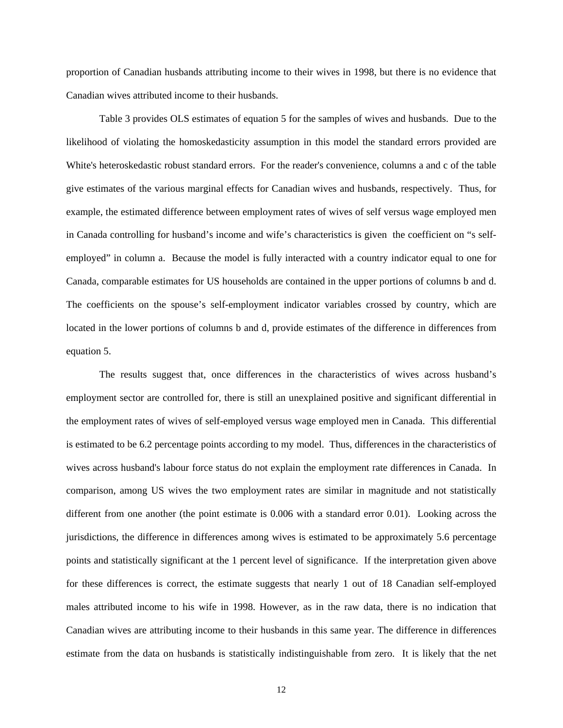proportion of Canadian husbands attributing income to their wives in 1998, but there is no evidence that Canadian wives attributed income to their husbands.

Table 3 provides OLS estimates of equation 5 for the samples of wives and husbands. Due to the likelihood of violating the homoskedasticity assumption in this model the standard errors provided are White's heteroskedastic robust standard errors. For the reader's convenience, columns a and c of the table give estimates of the various marginal effects for Canadian wives and husbands, respectively. Thus, for example, the estimated difference between employment rates of wives of self versus wage employed men in Canada controlling for husband's income and wife's characteristics is given the coefficient on "s selfemployed" in column a. Because the model is fully interacted with a country indicator equal to one for Canada, comparable estimates for US households are contained in the upper portions of columns b and d. The coefficients on the spouse's self-employment indicator variables crossed by country, which are located in the lower portions of columns b and d, provide estimates of the difference in differences from equation 5.

The results suggest that, once differences in the characteristics of wives across husband's employment sector are controlled for, there is still an unexplained positive and significant differential in the employment rates of wives of self-employed versus wage employed men in Canada. This differential is estimated to be 6.2 percentage points according to my model. Thus, differences in the characteristics of wives across husband's labour force status do not explain the employment rate differences in Canada. In comparison, among US wives the two employment rates are similar in magnitude and not statistically different from one another (the point estimate is 0.006 with a standard error 0.01). Looking across the jurisdictions, the difference in differences among wives is estimated to be approximately 5.6 percentage points and statistically significant at the 1 percent level of significance. If the interpretation given above for these differences is correct, the estimate suggests that nearly 1 out of 18 Canadian self-employed males attributed income to his wife in 1998. However, as in the raw data, there is no indication that Canadian wives are attributing income to their husbands in this same year. The difference in differences estimate from the data on husbands is statistically indistinguishable from zero. It is likely that the net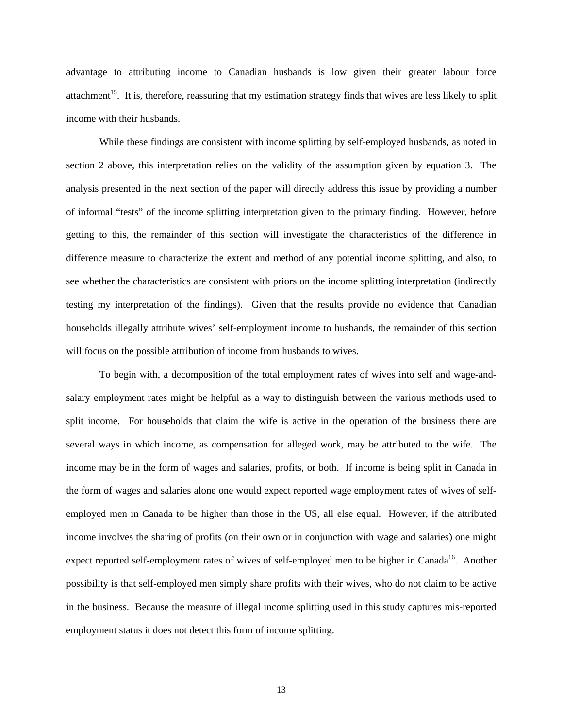advantage to attributing income to Canadian husbands is low given their greater labour force attachment<sup>15</sup>. It is, therefore, reassuring that my estimation strategy finds that wives are less likely to split income with their husbands.

While these findings are consistent with income splitting by self-employed husbands, as noted in section 2 above, this interpretation relies on the validity of the assumption given by equation 3. The analysis presented in the next section of the paper will directly address this issue by providing a number of informal "tests" of the income splitting interpretation given to the primary finding. However, before getting to this, the remainder of this section will investigate the characteristics of the difference in difference measure to characterize the extent and method of any potential income splitting, and also, to see whether the characteristics are consistent with priors on the income splitting interpretation (indirectly testing my interpretation of the findings). Given that the results provide no evidence that Canadian households illegally attribute wives' self-employment income to husbands, the remainder of this section will focus on the possible attribution of income from husbands to wives.

To begin with, a decomposition of the total employment rates of wives into self and wage-andsalary employment rates might be helpful as a way to distinguish between the various methods used to split income. For households that claim the wife is active in the operation of the business there are several ways in which income, as compensation for alleged work, may be attributed to the wife. The income may be in the form of wages and salaries, profits, or both. If income is being split in Canada in the form of wages and salaries alone one would expect reported wage employment rates of wives of selfemployed men in Canada to be higher than those in the US, all else equal. However, if the attributed income involves the sharing of profits (on their own or in conjunction with wage and salaries) one might expect reported self-employment rates of wives of self-employed men to be higher in Canada<sup>16</sup>. Another possibility is that self-employed men simply share profits with their wives, who do not claim to be active in the business. Because the measure of illegal income splitting used in this study captures mis-reported employment status it does not detect this form of income splitting.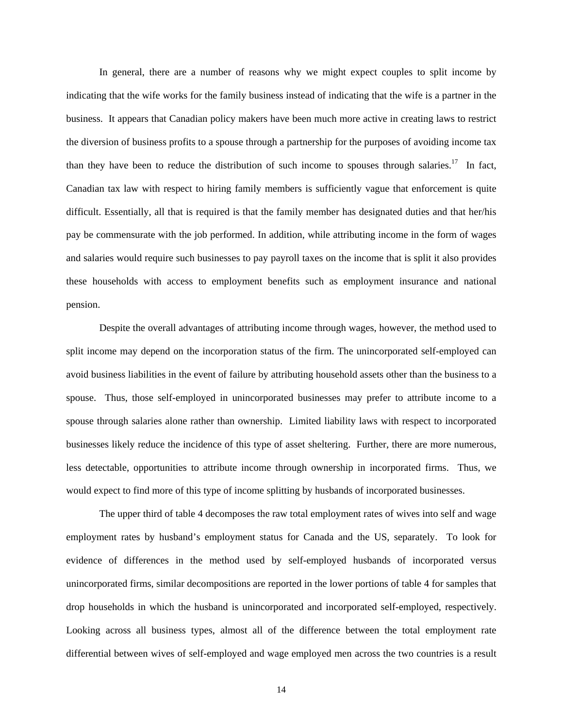In general, there are a number of reasons why we might expect couples to split income by indicating that the wife works for the family business instead of indicating that the wife is a partner in the business. It appears that Canadian policy makers have been much more active in creating laws to restrict the diversion of business profits to a spouse through a partnership for the purposes of avoiding income tax than they have been to reduce the distribution of such income to spouses through salaries.<sup>17</sup> In fact, Canadian tax law with respect to hiring family members is sufficiently vague that enforcement is quite difficult. Essentially, all that is required is that the family member has designated duties and that her/his pay be commensurate with the job performed. In addition, while attributing income in the form of wages and salaries would require such businesses to pay payroll taxes on the income that is split it also provides these households with access to employment benefits such as employment insurance and national pension.

Despite the overall advantages of attributing income through wages, however, the method used to split income may depend on the incorporation status of the firm. The unincorporated self-employed can avoid business liabilities in the event of failure by attributing household assets other than the business to a spouse. Thus, those self-employed in unincorporated businesses may prefer to attribute income to a spouse through salaries alone rather than ownership. Limited liability laws with respect to incorporated businesses likely reduce the incidence of this type of asset sheltering. Further, there are more numerous, less detectable, opportunities to attribute income through ownership in incorporated firms. Thus, we would expect to find more of this type of income splitting by husbands of incorporated businesses.

The upper third of table 4 decomposes the raw total employment rates of wives into self and wage employment rates by husband's employment status for Canada and the US, separately. To look for evidence of differences in the method used by self-employed husbands of incorporated versus unincorporated firms, similar decompositions are reported in the lower portions of table 4 for samples that drop households in which the husband is unincorporated and incorporated self-employed, respectively. Looking across all business types, almost all of the difference between the total employment rate differential between wives of self-employed and wage employed men across the two countries is a result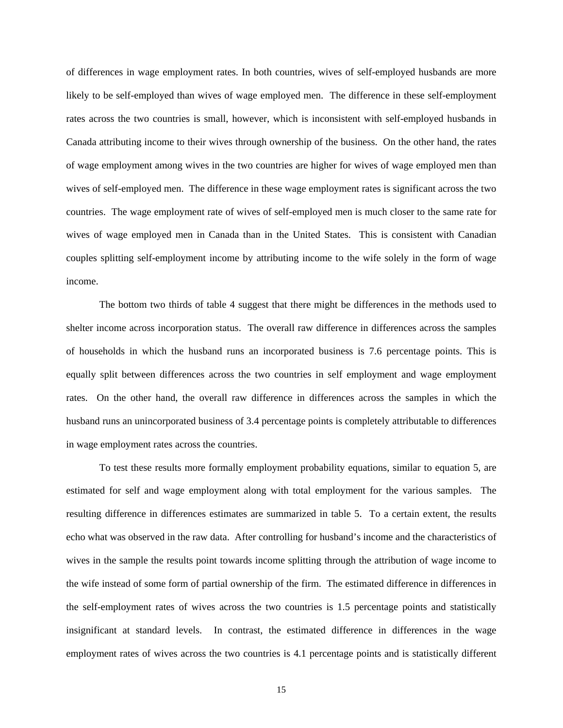of differences in wage employment rates. In both countries, wives of self-employed husbands are more likely to be self-employed than wives of wage employed men. The difference in these self-employment rates across the two countries is small, however, which is inconsistent with self-employed husbands in Canada attributing income to their wives through ownership of the business. On the other hand, the rates of wage employment among wives in the two countries are higher for wives of wage employed men than wives of self-employed men. The difference in these wage employment rates is significant across the two countries. The wage employment rate of wives of self-employed men is much closer to the same rate for wives of wage employed men in Canada than in the United States. This is consistent with Canadian couples splitting self-employment income by attributing income to the wife solely in the form of wage income.

The bottom two thirds of table 4 suggest that there might be differences in the methods used to shelter income across incorporation status. The overall raw difference in differences across the samples of households in which the husband runs an incorporated business is 7.6 percentage points. This is equally split between differences across the two countries in self employment and wage employment rates. On the other hand, the overall raw difference in differences across the samples in which the husband runs an unincorporated business of 3.4 percentage points is completely attributable to differences in wage employment rates across the countries.

 To test these results more formally employment probability equations, similar to equation 5, are estimated for self and wage employment along with total employment for the various samples. The resulting difference in differences estimates are summarized in table 5. To a certain extent, the results echo what was observed in the raw data. After controlling for husband's income and the characteristics of wives in the sample the results point towards income splitting through the attribution of wage income to the wife instead of some form of partial ownership of the firm. The estimated difference in differences in the self-employment rates of wives across the two countries is 1.5 percentage points and statistically insignificant at standard levels. In contrast, the estimated difference in differences in the wage employment rates of wives across the two countries is 4.1 percentage points and is statistically different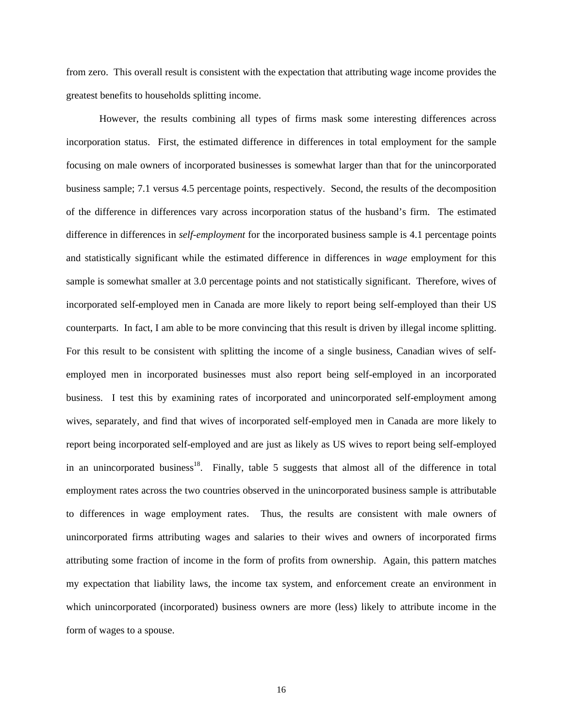from zero. This overall result is consistent with the expectation that attributing wage income provides the greatest benefits to households splitting income.

However, the results combining all types of firms mask some interesting differences across incorporation status. First, the estimated difference in differences in total employment for the sample focusing on male owners of incorporated businesses is somewhat larger than that for the unincorporated business sample; 7.1 versus 4.5 percentage points, respectively. Second, the results of the decomposition of the difference in differences vary across incorporation status of the husband's firm. The estimated difference in differences in *self-employment* for the incorporated business sample is 4.1 percentage points and statistically significant while the estimated difference in differences in *wage* employment for this sample is somewhat smaller at 3.0 percentage points and not statistically significant. Therefore, wives of incorporated self-employed men in Canada are more likely to report being self-employed than their US counterparts. In fact, I am able to be more convincing that this result is driven by illegal income splitting. For this result to be consistent with splitting the income of a single business, Canadian wives of selfemployed men in incorporated businesses must also report being self-employed in an incorporated business. I test this by examining rates of incorporated and unincorporated self-employment among wives, separately, and find that wives of incorporated self-employed men in Canada are more likely to report being incorporated self-employed and are just as likely as US wives to report being self-employed in an unincorporated business<sup>18</sup>. Finally, table 5 suggests that almost all of the difference in total employment rates across the two countries observed in the unincorporated business sample is attributable to differences in wage employment rates. Thus, the results are consistent with male owners of unincorporated firms attributing wages and salaries to their wives and owners of incorporated firms attributing some fraction of income in the form of profits from ownership. Again, this pattern matches my expectation that liability laws, the income tax system, and enforcement create an environment in which unincorporated (incorporated) business owners are more (less) likely to attribute income in the form of wages to a spouse.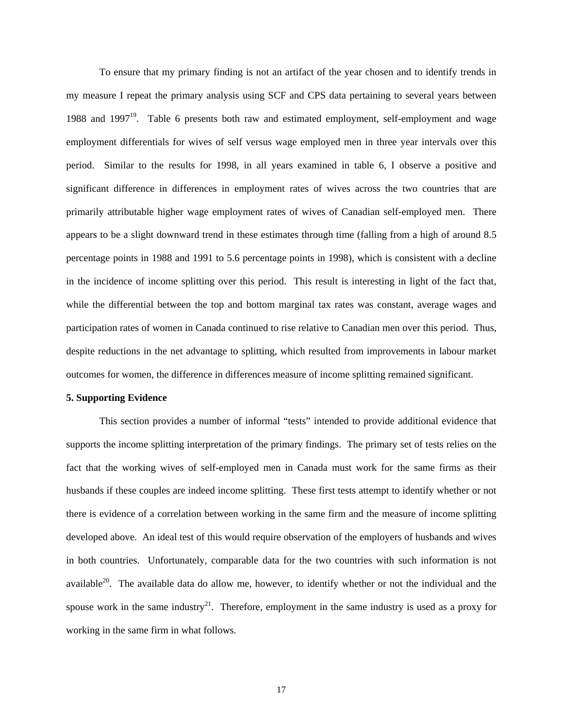To ensure that my primary finding is not an artifact of the year chosen and to identify trends in my measure I repeat the primary analysis using SCF and CPS data pertaining to several years between 1988 and 1997<sup>19</sup>. Table 6 presents both raw and estimated employment, self-employment and wage employment differentials for wives of self versus wage employed men in three year intervals over this period. Similar to the results for 1998, in all years examined in table 6, I observe a positive and significant difference in differences in employment rates of wives across the two countries that are primarily attributable higher wage employment rates of wives of Canadian self-employed men. There appears to be a slight downward trend in these estimates through time (falling from a high of around 8.5 percentage points in 1988 and 1991 to 5.6 percentage points in 1998), which is consistent with a decline in the incidence of income splitting over this period. This result is interesting in light of the fact that, while the differential between the top and bottom marginal tax rates was constant, average wages and participation rates of women in Canada continued to rise relative to Canadian men over this period. Thus, despite reductions in the net advantage to splitting, which resulted from improvements in labour market outcomes for women, the difference in differences measure of income splitting remained significant.

### **5. Supporting Evidence**

This section provides a number of informal "tests" intended to provide additional evidence that supports the income splitting interpretation of the primary findings. The primary set of tests relies on the fact that the working wives of self-employed men in Canada must work for the same firms as their husbands if these couples are indeed income splitting. These first tests attempt to identify whether or not there is evidence of a correlation between working in the same firm and the measure of income splitting developed above. An ideal test of this would require observation of the employers of husbands and wives in both countries. Unfortunately, comparable data for the two countries with such information is not available $^{20}$ . The available data do allow me, however, to identify whether or not the individual and the spouse work in the same industry<sup>21</sup>. Therefore, employment in the same industry is used as a proxy for working in the same firm in what follows.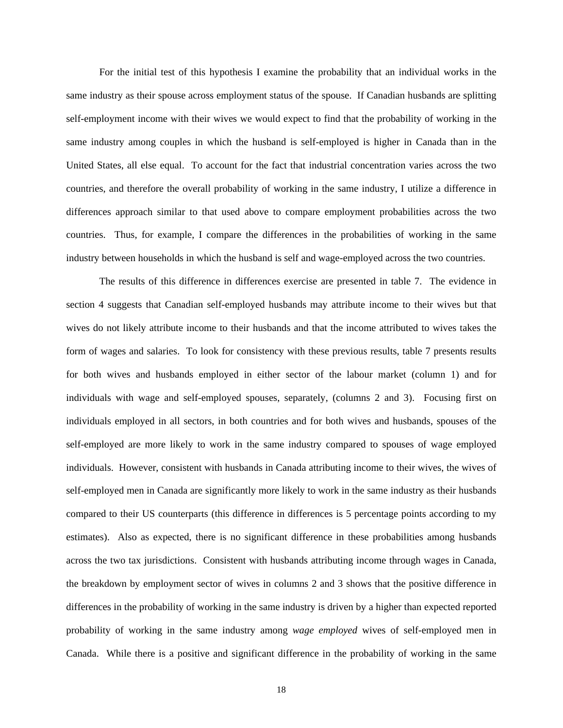For the initial test of this hypothesis I examine the probability that an individual works in the same industry as their spouse across employment status of the spouse. If Canadian husbands are splitting self-employment income with their wives we would expect to find that the probability of working in the same industry among couples in which the husband is self-employed is higher in Canada than in the United States, all else equal. To account for the fact that industrial concentration varies across the two countries, and therefore the overall probability of working in the same industry, I utilize a difference in differences approach similar to that used above to compare employment probabilities across the two countries. Thus, for example, I compare the differences in the probabilities of working in the same industry between households in which the husband is self and wage-employed across the two countries.

The results of this difference in differences exercise are presented in table 7. The evidence in section 4 suggests that Canadian self-employed husbands may attribute income to their wives but that wives do not likely attribute income to their husbands and that the income attributed to wives takes the form of wages and salaries. To look for consistency with these previous results, table 7 presents results for both wives and husbands employed in either sector of the labour market (column 1) and for individuals with wage and self-employed spouses, separately, (columns 2 and 3). Focusing first on individuals employed in all sectors, in both countries and for both wives and husbands, spouses of the self-employed are more likely to work in the same industry compared to spouses of wage employed individuals. However, consistent with husbands in Canada attributing income to their wives, the wives of self-employed men in Canada are significantly more likely to work in the same industry as their husbands compared to their US counterparts (this difference in differences is 5 percentage points according to my estimates). Also as expected, there is no significant difference in these probabilities among husbands across the two tax jurisdictions. Consistent with husbands attributing income through wages in Canada, the breakdown by employment sector of wives in columns 2 and 3 shows that the positive difference in differences in the probability of working in the same industry is driven by a higher than expected reported probability of working in the same industry among *wage employed* wives of self-employed men in Canada. While there is a positive and significant difference in the probability of working in the same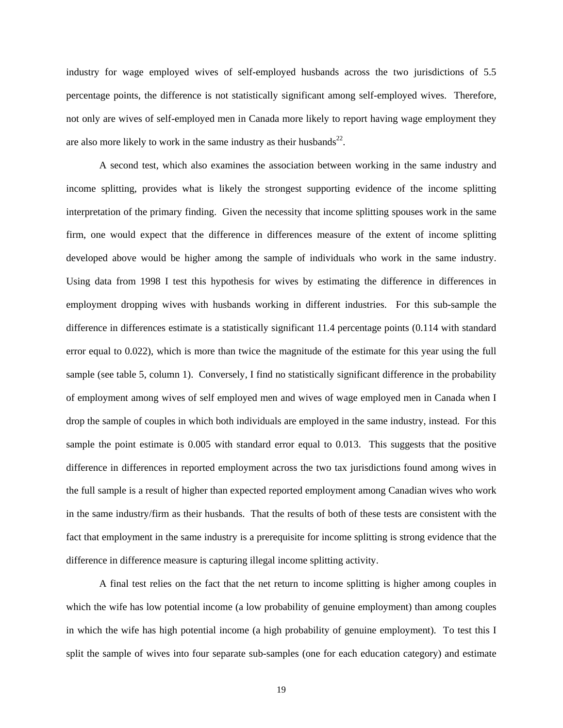industry for wage employed wives of self-employed husbands across the two jurisdictions of 5.5 percentage points, the difference is not statistically significant among self-employed wives. Therefore, not only are wives of self-employed men in Canada more likely to report having wage employment they are also more likely to work in the same industry as their husbands $^{22}$ .

A second test, which also examines the association between working in the same industry and income splitting, provides what is likely the strongest supporting evidence of the income splitting interpretation of the primary finding. Given the necessity that income splitting spouses work in the same firm, one would expect that the difference in differences measure of the extent of income splitting developed above would be higher among the sample of individuals who work in the same industry. Using data from 1998 I test this hypothesis for wives by estimating the difference in differences in employment dropping wives with husbands working in different industries. For this sub-sample the difference in differences estimate is a statistically significant 11.4 percentage points (0.114 with standard error equal to 0.022), which is more than twice the magnitude of the estimate for this year using the full sample (see table 5, column 1). Conversely, I find no statistically significant difference in the probability of employment among wives of self employed men and wives of wage employed men in Canada when I drop the sample of couples in which both individuals are employed in the same industry, instead. For this sample the point estimate is 0.005 with standard error equal to 0.013. This suggests that the positive difference in differences in reported employment across the two tax jurisdictions found among wives in the full sample is a result of higher than expected reported employment among Canadian wives who work in the same industry/firm as their husbands. That the results of both of these tests are consistent with the fact that employment in the same industry is a prerequisite for income splitting is strong evidence that the difference in difference measure is capturing illegal income splitting activity.

A final test relies on the fact that the net return to income splitting is higher among couples in which the wife has low potential income (a low probability of genuine employment) than among couples in which the wife has high potential income (a high probability of genuine employment). To test this I split the sample of wives into four separate sub-samples (one for each education category) and estimate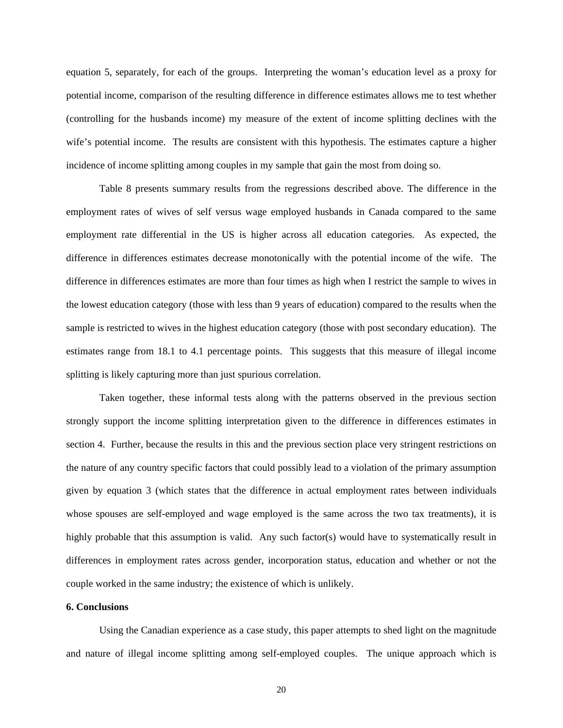equation 5, separately, for each of the groups. Interpreting the woman's education level as a proxy for potential income, comparison of the resulting difference in difference estimates allows me to test whether (controlling for the husbands income) my measure of the extent of income splitting declines with the wife's potential income. The results are consistent with this hypothesis. The estimates capture a higher incidence of income splitting among couples in my sample that gain the most from doing so.

 Table 8 presents summary results from the regressions described above. The difference in the employment rates of wives of self versus wage employed husbands in Canada compared to the same employment rate differential in the US is higher across all education categories. As expected, the difference in differences estimates decrease monotonically with the potential income of the wife. The difference in differences estimates are more than four times as high when I restrict the sample to wives in the lowest education category (those with less than 9 years of education) compared to the results when the sample is restricted to wives in the highest education category (those with post secondary education). The estimates range from 18.1 to 4.1 percentage points. This suggests that this measure of illegal income splitting is likely capturing more than just spurious correlation.

Taken together, these informal tests along with the patterns observed in the previous section strongly support the income splitting interpretation given to the difference in differences estimates in section 4. Further, because the results in this and the previous section place very stringent restrictions on the nature of any country specific factors that could possibly lead to a violation of the primary assumption given by equation 3 (which states that the difference in actual employment rates between individuals whose spouses are self-employed and wage employed is the same across the two tax treatments), it is highly probable that this assumption is valid. Any such factor(s) would have to systematically result in differences in employment rates across gender, incorporation status, education and whether or not the couple worked in the same industry; the existence of which is unlikely.

### **6. Conclusions**

 Using the Canadian experience as a case study, this paper attempts to shed light on the magnitude and nature of illegal income splitting among self-employed couples. The unique approach which is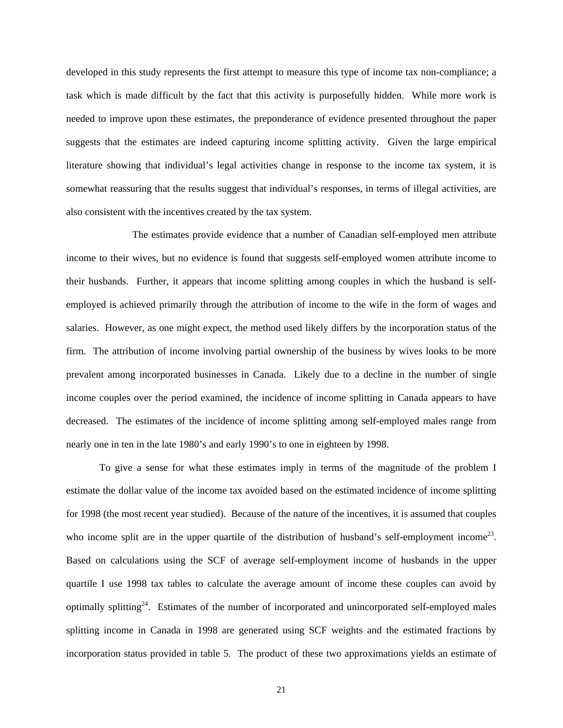developed in this study represents the first attempt to measure this type of income tax non-compliance; a task which is made difficult by the fact that this activity is purposefully hidden. While more work is needed to improve upon these estimates, the preponderance of evidence presented throughout the paper suggests that the estimates are indeed capturing income splitting activity. Given the large empirical literature showing that individual's legal activities change in response to the income tax system, it is somewhat reassuring that the results suggest that individual's responses, in terms of illegal activities, are also consistent with the incentives created by the tax system.

 The estimates provide evidence that a number of Canadian self-employed men attribute income to their wives, but no evidence is found that suggests self-employed women attribute income to their husbands. Further, it appears that income splitting among couples in which the husband is selfemployed is achieved primarily through the attribution of income to the wife in the form of wages and salaries. However, as one might expect, the method used likely differs by the incorporation status of the firm. The attribution of income involving partial ownership of the business by wives looks to be more prevalent among incorporated businesses in Canada. Likely due to a decline in the number of single income couples over the period examined, the incidence of income splitting in Canada appears to have decreased. The estimates of the incidence of income splitting among self-employed males range from nearly one in ten in the late 1980's and early 1990's to one in eighteen by 1998.

 To give a sense for what these estimates imply in terms of the magnitude of the problem I estimate the dollar value of the income tax avoided based on the estimated incidence of income splitting for 1998 (the most recent year studied). Because of the nature of the incentives, it is assumed that couples who income split are in the upper quartile of the distribution of husband's self-employment income<sup>23</sup>. Based on calculations using the SCF of average self-employment income of husbands in the upper quartile I use 1998 tax tables to calculate the average amount of income these couples can avoid by optimally splitting24. Estimates of the number of incorporated and unincorporated self-employed males splitting income in Canada in 1998 are generated using SCF weights and the estimated fractions by incorporation status provided in table 5. The product of these two approximations yields an estimate of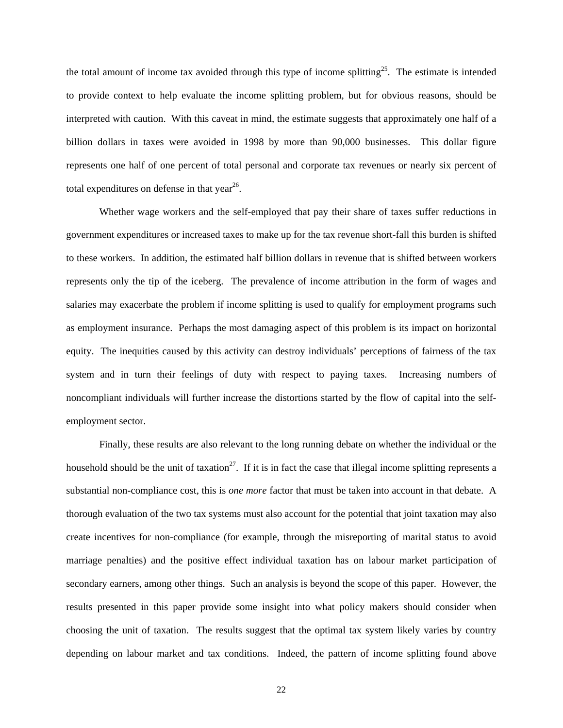the total amount of income tax avoided through this type of income splitting<sup>25</sup>. The estimate is intended to provide context to help evaluate the income splitting problem, but for obvious reasons, should be interpreted with caution. With this caveat in mind, the estimate suggests that approximately one half of a billion dollars in taxes were avoided in 1998 by more than 90,000 businesses. This dollar figure represents one half of one percent of total personal and corporate tax revenues or nearly six percent of total expenditures on defense in that year<sup>26</sup>.

Whether wage workers and the self-employed that pay their share of taxes suffer reductions in government expenditures or increased taxes to make up for the tax revenue short-fall this burden is shifted to these workers. In addition, the estimated half billion dollars in revenue that is shifted between workers represents only the tip of the iceberg. The prevalence of income attribution in the form of wages and salaries may exacerbate the problem if income splitting is used to qualify for employment programs such as employment insurance. Perhaps the most damaging aspect of this problem is its impact on horizontal equity. The inequities caused by this activity can destroy individuals' perceptions of fairness of the tax system and in turn their feelings of duty with respect to paying taxes. Increasing numbers of noncompliant individuals will further increase the distortions started by the flow of capital into the selfemployment sector.

Finally, these results are also relevant to the long running debate on whether the individual or the household should be the unit of taxation<sup>27</sup>. If it is in fact the case that illegal income splitting represents a substantial non-compliance cost, this is *one more* factor that must be taken into account in that debate. A thorough evaluation of the two tax systems must also account for the potential that joint taxation may also create incentives for non-compliance (for example, through the misreporting of marital status to avoid marriage penalties) and the positive effect individual taxation has on labour market participation of secondary earners, among other things. Such an analysis is beyond the scope of this paper. However, the results presented in this paper provide some insight into what policy makers should consider when choosing the unit of taxation. The results suggest that the optimal tax system likely varies by country depending on labour market and tax conditions. Indeed, the pattern of income splitting found above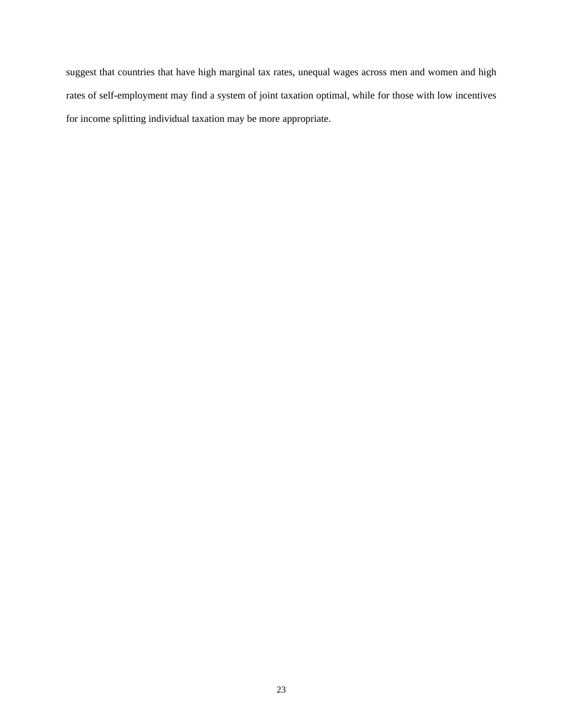suggest that countries that have high marginal tax rates, unequal wages across men and women and high rates of self-employment may find a system of joint taxation optimal, while for those with low incentives for income splitting individual taxation may be more appropriate.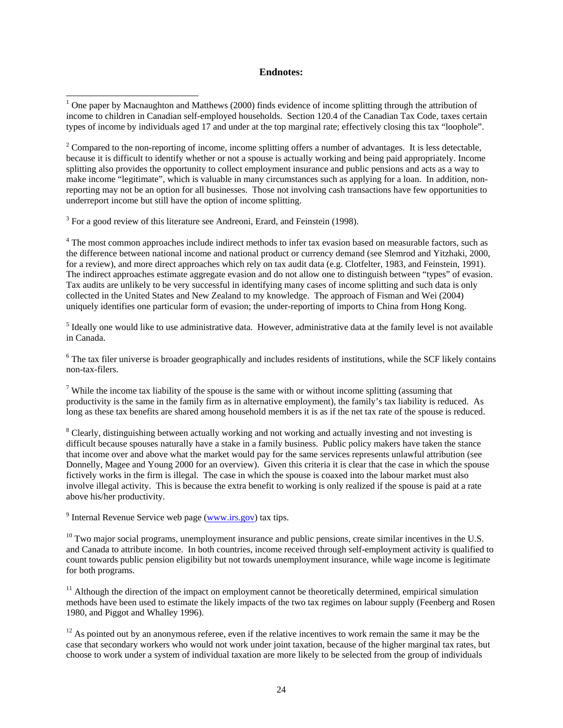#### **Endnotes:**

 $3$  For a good review of this literature see Andreoni, Erard, and Feinstein (1998).

<sup>4</sup> The most common approaches include indirect methods to infer tax evasion based on measurable factors, such as the difference between national income and national product or currency demand (see Slemrod and Yitzhaki, 2000, for a review), and more direct approaches which rely on tax audit data (e.g. Clotfelter, 1983, and Feinstein, 1991). The indirect approaches estimate aggregate evasion and do not allow one to distinguish between "types" of evasion. Tax audits are unlikely to be very successful in identifying many cases of income splitting and such data is only collected in the United States and New Zealand to my knowledge. The approach of Fisman and Wei (2004) uniquely identifies one particular form of evasion; the under-reporting of imports to China from Hong Kong.

<sup>5</sup> Ideally one would like to use administrative data. However, administrative data at the family level is not available in Canada.

 $6$  The tax filer universe is broader geographically and includes residents of institutions, while the SCF likely contains non-tax-filers.

<sup>7</sup> While the income tax liability of the spouse is the same with or without income splitting (assuming that productivity is the same in the family firm as in alternative employment), the family's tax liability is reduced. As long as these tax benefits are shared among household members it is as if the net tax rate of the spouse is reduced.

<sup>8</sup> Clearly, distinguishing between actually working and not working and actually investing and not investing is difficult because spouses naturally have a stake in a family business. Public policy makers have taken the stance that income over and above what the market would pay for the same services represents unlawful attribution (see Donnelly, Magee and Young 2000 for an overview). Given this criteria it is clear that the case in which the spouse fictively works in the firm is illegal. The case in which the spouse is coaxed into the labour market must also involve illegal activity. This is because the extra benefit to working is only realized if the spouse is paid at a rate above his/her productivity.

<sup>9</sup> Internal Revenue Service web page  $(\underline{www.irs.gov})$  tax tips.

 $10$  Two major social programs, unemployment insurance and public pensions, create similar incentives in the U.S. and Canada to attribute income. In both countries, income received through self-employment activity is qualified to count towards public pension eligibility but not towards unemployment insurance, while wage income is legitimate for both programs.

 $11$  Although the direction of the impact on employment cannot be theoretically determined, empirical simulation methods have been used to estimate the likely impacts of the two tax regimes on labour supply (Feenberg and Rosen 1980, and Piggot and Whalley 1996).

 $12$  As pointed out by an anonymous referee, even if the relative incentives to work remain the same it may be the case that secondary workers who would not work under joint taxation, because of the higher marginal tax rates, but choose to work under a system of individual taxation are more likely to be selected from the group of individuals

<sup>&</sup>lt;sup>1</sup> One paper by Macnaughton and Matthews (2000) finds evidence of income splitting through the attribution of income to children in Canadian self-employed households. Section 120.4 of the Canadian Tax Code, taxes certain types of income by individuals aged 17 and under at the top marginal rate; effectively closing this tax "loophole".

 $2^2$  Compared to the non-reporting of income, income splitting offers a number of advantages. It is less detectable, because it is difficult to identify whether or not a spouse is actually working and being paid appropriately. Income splitting also provides the opportunity to collect employment insurance and public pensions and acts as a way to make income "legitimate", which is valuable in many circumstances such as applying for a loan. In addition, nonreporting may not be an option for all businesses. Those not involving cash transactions have few opportunities to underreport income but still have the option of income splitting.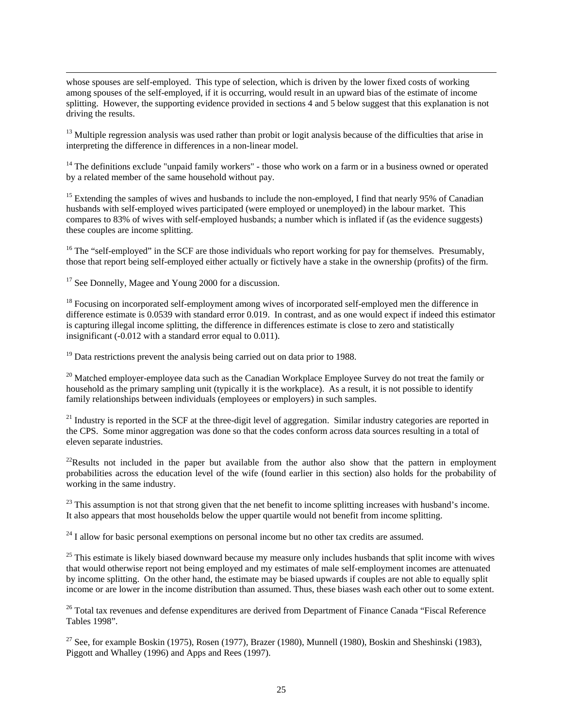whose spouses are self-employed. This type of selection, which is driven by the lower fixed costs of working among spouses of the self-employed, if it is occurring, would result in an upward bias of the estimate of income splitting. However, the supporting evidence provided in sections 4 and 5 below suggest that this explanation is not driving the results.

 $13$  Multiple regression analysis was used rather than probit or logit analysis because of the difficulties that arise in interpreting the difference in differences in a non-linear model.

<sup>14</sup> The definitions exclude "unpaid family workers" - those who work on a farm or in a business owned or operated by a related member of the same household without pay.

<sup>15</sup> Extending the samples of wives and husbands to include the non-employed, I find that nearly 95% of Canadian husbands with self-employed wives participated (were employed or unemployed) in the labour market. This compares to 83% of wives with self-employed husbands; a number which is inflated if (as the evidence suggests) these couples are income splitting.

<sup>16</sup> The "self-employed" in the SCF are those individuals who report working for pay for themselves. Presumably, those that report being self-employed either actually or fictively have a stake in the ownership (profits) of the firm.

<sup>17</sup> See Donnelly, Magee and Young 2000 for a discussion.

 $\overline{a}$ 

<sup>18</sup> Focusing on incorporated self-employment among wives of incorporated self-employed men the difference in difference estimate is 0.0539 with standard error 0.019. In contrast, and as one would expect if indeed this estimator is capturing illegal income splitting, the difference in differences estimate is close to zero and statistically insignificant (-0.012 with a standard error equal to 0.011).

 $19$  Data restrictions prevent the analysis being carried out on data prior to 1988.

<sup>20</sup> Matched employer-employee data such as the Canadian Workplace Employee Survey do not treat the family or household as the primary sampling unit (typically it is the workplace). As a result, it is not possible to identify family relationships between individuals (employees or employers) in such samples.

 $21$  Industry is reported in the SCF at the three-digit level of aggregation. Similar industry categories are reported in the CPS. Some minor aggregation was done so that the codes conform across data sources resulting in a total of eleven separate industries.

 $^{22}$ Results not included in the paper but available from the author also show that the pattern in employment probabilities across the education level of the wife (found earlier in this section) also holds for the probability of working in the same industry.

 $^{23}$  This assumption is not that strong given that the net benefit to income splitting increases with husband's income. It also appears that most households below the upper quartile would not benefit from income splitting.

 $24$  I allow for basic personal exemptions on personal income but no other tax credits are assumed.

 $25$  This estimate is likely biased downward because my measure only includes husbands that split income with wives that would otherwise report not being employed and my estimates of male self-employment incomes are attenuated by income splitting. On the other hand, the estimate may be biased upwards if couples are not able to equally split income or are lower in the income distribution than assumed. Thus, these biases wash each other out to some extent.

<sup>26</sup> Total tax revenues and defense expenditures are derived from Department of Finance Canada "Fiscal Reference Tables 1998".

<sup>27</sup> See, for example Boskin (1975), Rosen (1977), Brazer (1980), Munnell (1980), Boskin and Sheshinski (1983), Piggott and Whalley (1996) and Apps and Rees (1997).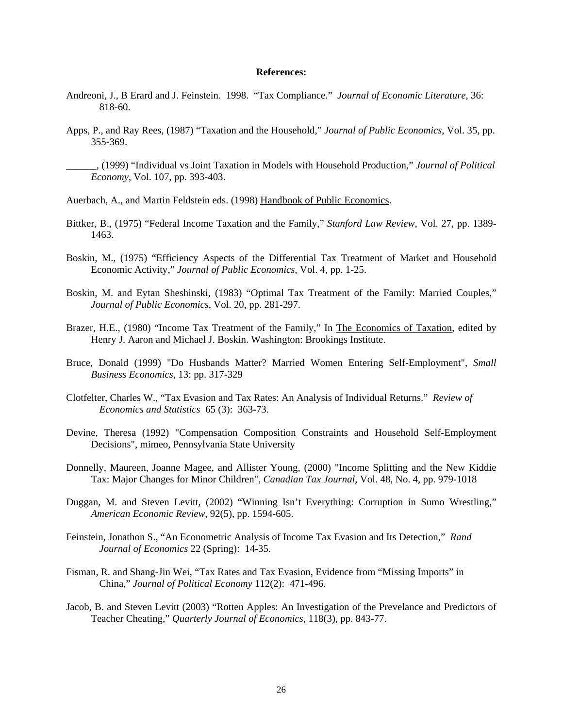#### **References:**

- Andreoni, J., B Erard and J. Feinstein. 1998. "Tax Compliance." *Journal of Economic Literature*, 36: 818-60.
- Apps, P., and Ray Rees, (1987) "Taxation and the Household," *Journal of Public Economics*, Vol. 35, pp. 355-369.

\_\_\_\_\_\_, (1999) "Individual vs Joint Taxation in Models with Household Production," *Journal of Political Economy*, Vol. 107, pp. 393-403.

Auerbach, A., and Martin Feldstein eds. (1998) Handbook of Public Economics.

- Bittker, B., (1975) "Federal Income Taxation and the Family," *Stanford Law Review*, Vol. 27, pp. 1389- 1463.
- Boskin, M., (1975) "Efficiency Aspects of the Differential Tax Treatment of Market and Household Economic Activity," *Journal of Public Economics*, Vol. 4, pp. 1-25.
- Boskin, M. and Eytan Sheshinski, (1983) "Optimal Tax Treatment of the Family: Married Couples," *Journal of Public Economics*, Vol. 20, pp. 281-297.
- Brazer, H.E., (1980) "Income Tax Treatment of the Family," In The Economics of Taxation, edited by Henry J. Aaron and Michael J. Boskin. Washington: Brookings Institute.
- Bruce, Donald (1999) "Do Husbands Matter? Married Women Entering Self-Employment", *Small Business Economics*, 13: pp. 317-329
- Clotfelter, Charles W., "Tax Evasion and Tax Rates: An Analysis of Individual Returns." *Review of Economics and Statistics* 65 (3): 363-73.
- Devine, Theresa (1992) "Compensation Composition Constraints and Household Self-Employment Decisions", mimeo, Pennsylvania State University
- Donnelly, Maureen, Joanne Magee, and Allister Young, (2000) "Income Splitting and the New Kiddie Tax: Major Changes for Minor Children", *Canadian Tax Journal*, Vol. 48, No. 4, pp. 979-1018
- Duggan, M. and Steven Levitt, (2002) "Winning Isn't Everything: Corruption in Sumo Wrestling," *American Economic Review*, 92(5), pp. 1594-605.
- Feinstein, Jonathon S., "An Econometric Analysis of Income Tax Evasion and Its Detection," *Rand Journal of Economics* 22 (Spring): 14-35.
- Fisman, R. and Shang-Jin Wei, "Tax Rates and Tax Evasion, Evidence from "Missing Imports" in China," *Journal of Political Economy* 112(2): 471-496.
- Jacob, B. and Steven Levitt (2003) "Rotten Apples: An Investigation of the Prevelance and Predictors of Teacher Cheating," *Quarterly Journal of Economics*, 118(3), pp. 843-77.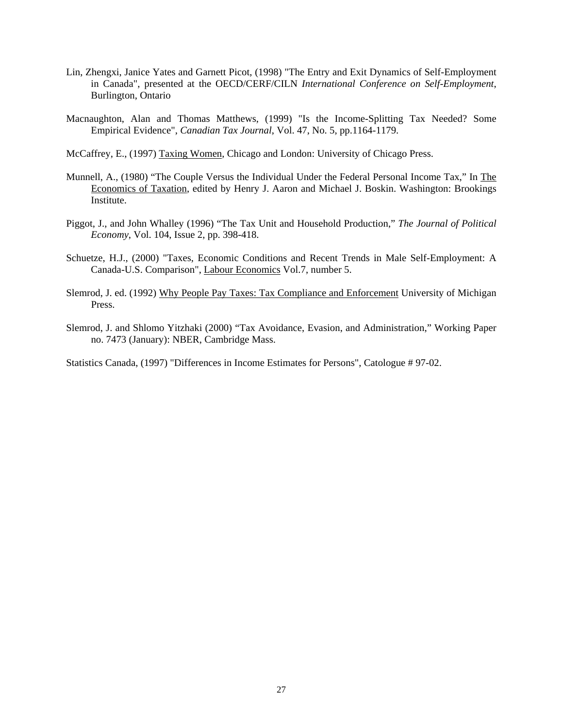- Lin, Zhengxi, Janice Yates and Garnett Picot, (1998) "The Entry and Exit Dynamics of Self-Employment in Canada", presented at the OECD/CERF/CILN *International Conference on Self-Employment*, Burlington, Ontario
- Macnaughton, Alan and Thomas Matthews, (1999) "Is the Income-Splitting Tax Needed? Some Empirical Evidence", *Canadian Tax Journal*, Vol. 47, No. 5, pp.1164-1179.
- McCaffrey, E., (1997) Taxing Women, Chicago and London: University of Chicago Press.
- Munnell, A., (1980) "The Couple Versus the Individual Under the Federal Personal Income Tax," In The Economics of Taxation, edited by Henry J. Aaron and Michael J. Boskin. Washington: Brookings Institute.
- Piggot, J., and John Whalley (1996) "The Tax Unit and Household Production," *The Journal of Political Economy*, Vol. 104, Issue 2, pp. 398-418.
- Schuetze, H.J., (2000) "Taxes, Economic Conditions and Recent Trends in Male Self-Employment: A Canada-U.S. Comparison", Labour Economics Vol.7, number 5.
- Slemrod, J. ed. (1992) Why People Pay Taxes: Tax Compliance and Enforcement University of Michigan Press.
- Slemrod, J. and Shlomo Yitzhaki (2000) "Tax Avoidance, Evasion, and Administration," Working Paper no. 7473 (January): NBER, Cambridge Mass.

Statistics Canada, (1997) "Differences in Income Estimates for Persons", Catologue # 97-02.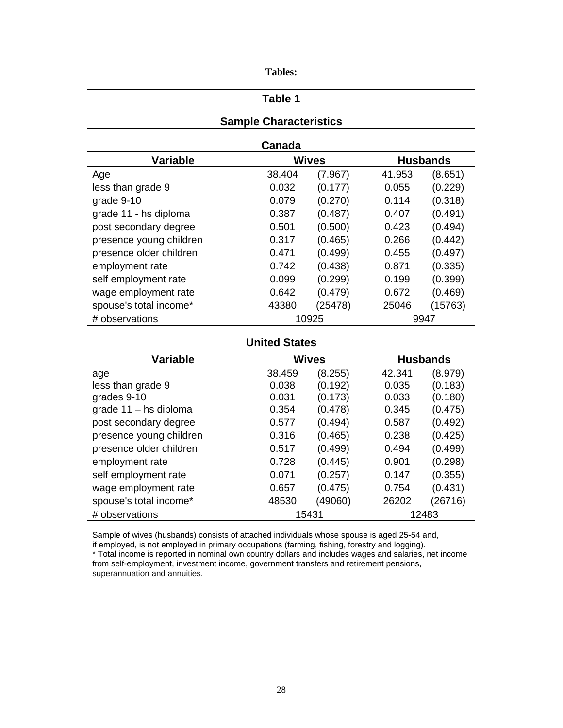| 'ables: |
|---------|
|---------|

### **Table 1**

## **Sample Characteristics**

| Canada |
|--------|
|--------|

| <b>Variable</b>         |        | <b>Wives</b> |        | <b>Husbands</b> |  |
|-------------------------|--------|--------------|--------|-----------------|--|
| Age                     | 38.404 | (7.967)      | 41.953 | (8.651)         |  |
| less than grade 9       | 0.032  | (0.177)      | 0.055  | (0.229)         |  |
| grade 9-10              | 0.079  | (0.270)      | 0.114  | (0.318)         |  |
| grade 11 - hs diploma   | 0.387  | (0.487)      | 0.407  | (0.491)         |  |
| post secondary degree   | 0.501  | (0.500)      | 0.423  | (0.494)         |  |
| presence young children | 0.317  | (0.465)      | 0.266  | (0.442)         |  |
| presence older children | 0.471  | (0.499)      | 0.455  | (0.497)         |  |
| employment rate         | 0.742  | (0.438)      | 0.871  | (0.335)         |  |
| self employment rate    | 0.099  | (0.299)      | 0.199  | (0.399)         |  |
| wage employment rate    | 0.642  | (0.479)      | 0.672  | (0.469)         |  |
| spouse's total income*  | 43380  | (25478)      | 25046  | (15763)         |  |
| # observations          |        | 10925        | 9947   |                 |  |

## **United States**

| <b>Variable</b>         |        | <b>Wives</b> |        | <b>Husbands</b> |
|-------------------------|--------|--------------|--------|-----------------|
| age                     | 38.459 | (8.255)      | 42.341 | (8.979)         |
| less than grade 9       | 0.038  | (0.192)      | 0.035  | (0.183)         |
| grades 9-10             | 0.031  | (0.173)      | 0.033  | (0.180)         |
| grade $11 -$ hs diploma | 0.354  | (0.478)      | 0.345  | (0.475)         |
| post secondary degree   | 0.577  | (0.494)      | 0.587  | (0.492)         |
| presence young children | 0.316  | (0.465)      | 0.238  | (0.425)         |
| presence older children | 0.517  | (0.499)      | 0.494  | (0.499)         |
| employment rate         | 0.728  | (0.445)      | 0.901  | (0.298)         |
| self employment rate    | 0.071  | (0.257)      | 0.147  | (0.355)         |
| wage employment rate    | 0.657  | (0.475)      | 0.754  | (0.431)         |
| spouse's total income*  | 48530  | (49060)      | 26202  | (26716)         |
| # observations          |        | 15431        |        | 12483           |

Sample of wives (husbands) consists of attached individuals whose spouse is aged 25-54 and, if employed, is not employed in primary occupations (farming, fishing, forestry and logging).

\* Total income is reported in nominal own country dollars and includes wages and salaries, net income from self-employment, investment income, government transfers and retirement pensions, superannuation and annuities.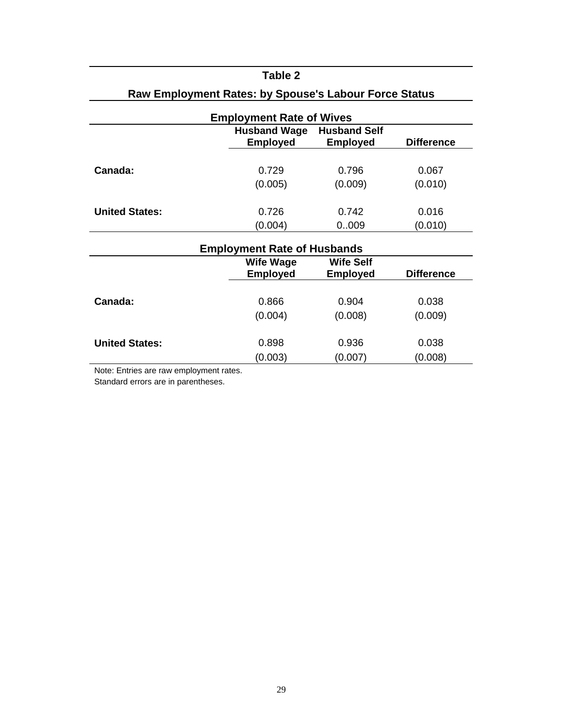| Raw Employment Rates: by Spouse's Labour Force Status |                                        |                                        |                   |  |  |  |  |  |
|-------------------------------------------------------|----------------------------------------|----------------------------------------|-------------------|--|--|--|--|--|
| <b>Employment Rate of Wives</b>                       |                                        |                                        |                   |  |  |  |  |  |
|                                                       | <b>Husband Wage</b><br><b>Employed</b> | <b>Husband Self</b><br><b>Employed</b> | <b>Difference</b> |  |  |  |  |  |
|                                                       |                                        |                                        |                   |  |  |  |  |  |
| Canada:                                               | 0.729                                  | 0.796                                  | 0.067             |  |  |  |  |  |
|                                                       | (0.005)                                | (0.009)                                | (0.010)           |  |  |  |  |  |
|                                                       |                                        |                                        |                   |  |  |  |  |  |
| <b>United States:</b>                                 | 0.726                                  | 0.742                                  | 0.016             |  |  |  |  |  |
|                                                       | (0.004)                                | 0.009                                  | (0.010)           |  |  |  |  |  |
|                                                       |                                        |                                        |                   |  |  |  |  |  |
|                                                       | <b>Employment Rate of Husbands</b>     |                                        |                   |  |  |  |  |  |
|                                                       | <b>Wife Wage</b>                       | <b>Wife Self</b>                       |                   |  |  |  |  |  |
|                                                       | <b>Employed</b>                        | <b>Employed</b>                        | <b>Difference</b> |  |  |  |  |  |
|                                                       |                                        |                                        |                   |  |  |  |  |  |
| Canada:                                               | 0.866                                  | 0.904                                  | 0.038             |  |  |  |  |  |

**United States:** 0.898 0.936 0.038

(0.004) (0.008) (0.009)

(0.003) (0.007) (0.008)

**Raw Employment Rates: by Spouse's Labour Force Status** 

**Table 2** 

Note: Entries are raw employment rates.

Standard errors are in parentheses.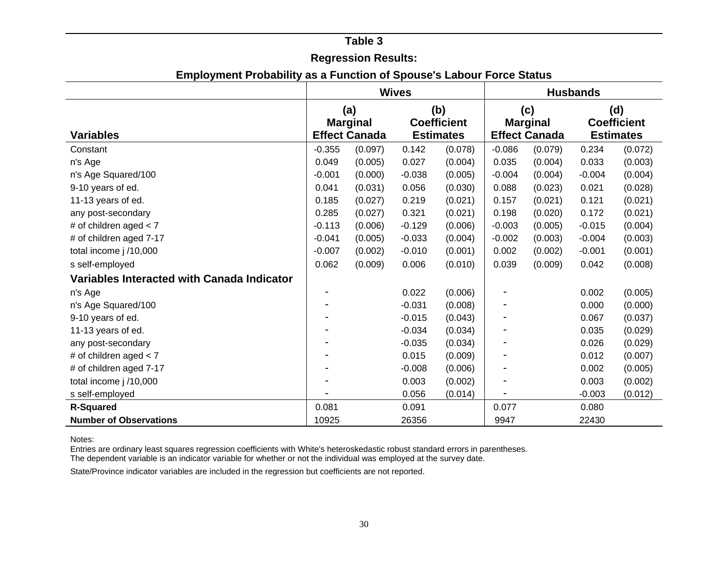### **Table 3**

## **Regression Results:**

|  |  |  | <b>Employment Probability as a Function of Spouse's Labour Force Status</b> |  |  |  |  |  |  |  |  |
|--|--|--|-----------------------------------------------------------------------------|--|--|--|--|--|--|--|--|
|--|--|--|-----------------------------------------------------------------------------|--|--|--|--|--|--|--|--|

|                                            | <b>Wives</b> |                      |          |                    |          | <b>Husbands</b>      |          |                    |  |
|--------------------------------------------|--------------|----------------------|----------|--------------------|----------|----------------------|----------|--------------------|--|
|                                            |              | (a)                  |          | (b)                | (c)      |                      | (d)      |                    |  |
|                                            |              | <b>Marginal</b>      |          | <b>Coefficient</b> |          | <b>Marginal</b>      |          | <b>Coefficient</b> |  |
| <b>Variables</b>                           |              | <b>Effect Canada</b> |          | <b>Estimates</b>   |          | <b>Effect Canada</b> |          | <b>Estimates</b>   |  |
| Constant                                   | $-0.355$     | (0.097)              | 0.142    | (0.078)            | $-0.086$ | (0.079)              | 0.234    | (0.072)            |  |
| n's Age                                    | 0.049        | (0.005)              | 0.027    | (0.004)            | 0.035    | (0.004)              | 0.033    | (0.003)            |  |
| n's Age Squared/100                        | $-0.001$     | (0.000)              | $-0.038$ | (0.005)            | $-0.004$ | (0.004)              | $-0.004$ | (0.004)            |  |
| 9-10 years of ed.                          | 0.041        | (0.031)              | 0.056    | (0.030)            | 0.088    | (0.023)              | 0.021    | (0.028)            |  |
| 11-13 years of ed.                         | 0.185        | (0.027)              | 0.219    | (0.021)            | 0.157    | (0.021)              | 0.121    | (0.021)            |  |
| any post-secondary                         | 0.285        | (0.027)              | 0.321    | (0.021)            | 0.198    | (0.020)              | 0.172    | (0.021)            |  |
| # of children aged $< 7$                   | $-0.113$     | (0.006)              | $-0.129$ | (0.006)            | $-0.003$ | (0.005)              | $-0.015$ | (0.004)            |  |
| # of children aged 7-17                    | $-0.041$     | (0.005)              | $-0.033$ | (0.004)            | $-0.002$ | (0.003)              | $-0.004$ | (0.003)            |  |
| total income j /10,000                     | $-0.007$     | (0.002)              | $-0.010$ | (0.001)            | 0.002    | (0.002)              | $-0.001$ | (0.001)            |  |
| s self-employed                            | 0.062        | (0.009)              | 0.006    | (0.010)            | 0.039    | (0.009)              | 0.042    | (0.008)            |  |
| Variables Interacted with Canada Indicator |              |                      |          |                    |          |                      |          |                    |  |
| n's Age                                    |              |                      | 0.022    | (0.006)            |          |                      | 0.002    | (0.005)            |  |
| n's Age Squared/100                        |              |                      | $-0.031$ | (0.008)            |          |                      | 0.000    | (0.000)            |  |
| 9-10 years of ed.                          |              |                      | $-0.015$ | (0.043)            |          |                      | 0.067    | (0.037)            |  |
| 11-13 years of ed.                         |              |                      | $-0.034$ | (0.034)            |          |                      | 0.035    | (0.029)            |  |
| any post-secondary                         |              |                      | $-0.035$ | (0.034)            |          |                      | 0.026    | (0.029)            |  |
| # of children aged $< 7$                   |              |                      | 0.015    | (0.009)            |          |                      | 0.012    | (0.007)            |  |
| # of children aged 7-17                    |              |                      | $-0.008$ | (0.006)            |          |                      | 0.002    | (0.005)            |  |
| total income j /10,000                     |              |                      | 0.003    | (0.002)            |          |                      | 0.003    | (0.002)            |  |
| s self-employed                            |              |                      | 0.056    | (0.014)            |          |                      | $-0.003$ | (0.012)            |  |
| <b>R-Squared</b>                           | 0.081        |                      | 0.091    |                    | 0.077    |                      | 0.080    |                    |  |
| <b>Number of Observations</b>              | 10925        |                      | 26356    |                    | 9947     |                      | 22430    |                    |  |

Notes:

 Entries are ordinary least squares regression coefficients with White's heteroskedastic robust standard errors in parentheses. The dependent variable is an indicator variable for whether or not the individual was employed at the survey date.

State/Province indicator variables are included in the regression but coefficients are not reported.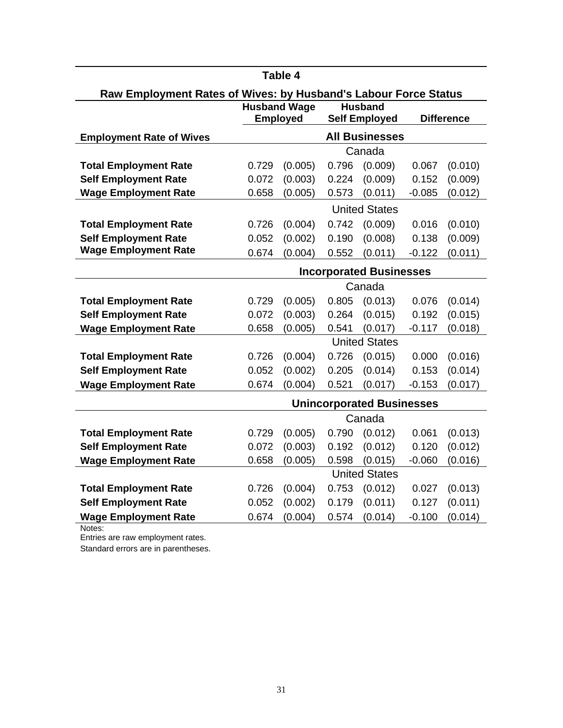| Table 4                                                         |                                |                                        |       |                                        |          |                   |  |  |
|-----------------------------------------------------------------|--------------------------------|----------------------------------------|-------|----------------------------------------|----------|-------------------|--|--|
| Raw Employment Rates of Wives: by Husband's Labour Force Status |                                |                                        |       |                                        |          |                   |  |  |
|                                                                 |                                | <b>Husband Wage</b><br><b>Employed</b> |       | <b>Husband</b><br><b>Self Employed</b> |          | <b>Difference</b> |  |  |
|                                                                 |                                |                                        |       | <b>All Businesses</b>                  |          |                   |  |  |
| <b>Employment Rate of Wives</b>                                 |                                |                                        |       | Canada                                 |          |                   |  |  |
| <b>Total Employment Rate</b>                                    | 0.729                          | (0.005)                                | 0.796 | (0.009)                                | 0.067    | (0.010)           |  |  |
| <b>Self Employment Rate</b>                                     | 0.072                          | (0.003)                                | 0.224 | (0.009)                                | 0.152    | (0.009)           |  |  |
| <b>Wage Employment Rate</b>                                     | 0.658                          | (0.005)                                | 0.573 | (0.011)                                | $-0.085$ | (0.012)           |  |  |
|                                                                 |                                |                                        |       | <b>United States</b>                   |          |                   |  |  |
| <b>Total Employment Rate</b>                                    | 0.726                          | (0.004)                                | 0.742 | (0.009)                                | 0.016    | (0.010)           |  |  |
| <b>Self Employment Rate</b>                                     | 0.052                          | (0.002)                                | 0.190 | (0.008)                                | 0.138    | (0.009)           |  |  |
| <b>Wage Employment Rate</b>                                     | 0.674                          | (0.004)                                | 0.552 | (0.011)                                | $-0.122$ | (0.011)           |  |  |
|                                                                 | <b>Incorporated Businesses</b> |                                        |       |                                        |          |                   |  |  |
|                                                                 |                                |                                        |       | Canada                                 |          |                   |  |  |
| <b>Total Employment Rate</b>                                    | 0.729                          | (0.005)                                | 0.805 | (0.013)                                | 0.076    | (0.014)           |  |  |
| <b>Self Employment Rate</b>                                     | 0.072                          | (0.003)                                | 0.264 | (0.015)                                | 0.192    | (0.015)           |  |  |
| <b>Wage Employment Rate</b>                                     | 0.658                          | (0.005)                                | 0.541 | (0.017)                                | $-0.117$ | (0.018)           |  |  |
|                                                                 |                                |                                        |       | <b>United States</b>                   |          |                   |  |  |
| <b>Total Employment Rate</b>                                    | 0.726                          | (0.004)                                | 0.726 | (0.015)                                | 0.000    | (0.016)           |  |  |
| <b>Self Employment Rate</b>                                     | 0.052                          | (0.002)                                | 0.205 | (0.014)                                | 0.153    | (0.014)           |  |  |
| <b>Wage Employment Rate</b>                                     | 0.674                          | (0.004)                                | 0.521 | (0.017)                                | $-0.153$ | (0.017)           |  |  |
|                                                                 |                                |                                        |       | <b>Unincorporated Businesses</b>       |          |                   |  |  |
|                                                                 |                                |                                        |       | Canada                                 |          |                   |  |  |
| <b>Total Employment Rate</b>                                    | 0.729                          | (0.005)                                | 0.790 | (0.012)                                | 0.061    | (0.013)           |  |  |
| <b>Self Employment Rate</b>                                     | 0.072                          | (0.003)                                | 0.192 | (0.012)                                | 0.120    | (0.012)           |  |  |
| <b>Wage Employment Rate</b>                                     | 0.658                          | (0.005)                                | 0.598 | (0.015)                                | $-0.060$ | (0.016)           |  |  |
|                                                                 |                                |                                        |       | <b>United States</b>                   |          |                   |  |  |
| <b>Total Employment Rate</b>                                    | 0.726                          | (0.004)                                | 0.753 | (0.012)                                | 0.027    | (0.013)           |  |  |
| <b>Self Employment Rate</b>                                     | 0.052                          | (0.002)                                | 0.179 | (0.011)                                | 0.127    | (0.011)           |  |  |
| <b>Wage Employment Rate</b>                                     | 0.674                          | (0.004)                                | 0.574 | (0.014)                                | $-0.100$ | (0.014)           |  |  |

Notes:

Entries are raw employment rates.

Standard errors are in parentheses.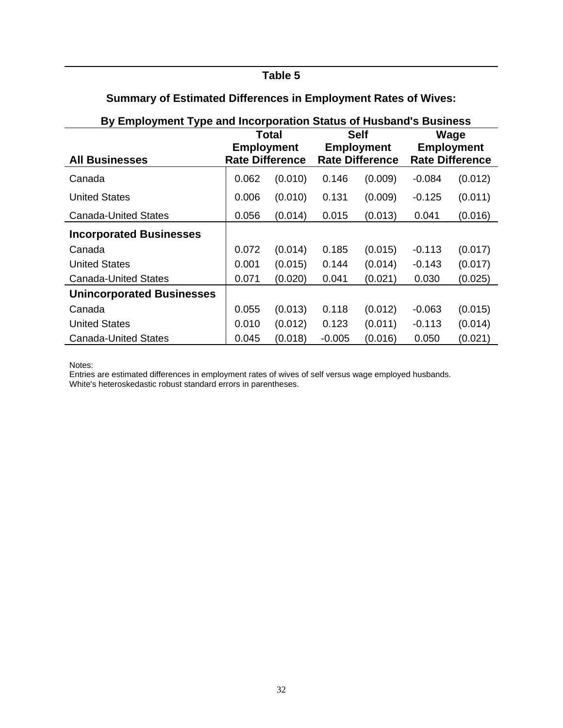## **Table 5**

| By Employment Type and Incorporation Status of Husband's Business |                        |         |          |                        |          |                        |  |  |
|-------------------------------------------------------------------|------------------------|---------|----------|------------------------|----------|------------------------|--|--|
|                                                                   |                        | Total   |          | <b>Self</b>            | Wage     |                        |  |  |
|                                                                   | <b>Employment</b>      |         |          | <b>Employment</b>      |          | <b>Employment</b>      |  |  |
| <b>All Businesses</b>                                             | <b>Rate Difference</b> |         |          | <b>Rate Difference</b> |          | <b>Rate Difference</b> |  |  |
| Canada                                                            | 0.062                  | (0.010) | 0.146    | (0.009)                | -0.084   | (0.012)                |  |  |
| <b>United States</b>                                              | 0.006                  | (0.010) | 0.131    | (0.009)                | $-0.125$ | (0.011)                |  |  |
| <b>Canada-United States</b>                                       | 0.056                  | (0.014) | 0.015    | (0.013)                | 0.041    | (0.016)                |  |  |
| <b>Incorporated Businesses</b>                                    |                        |         |          |                        |          |                        |  |  |
| Canada                                                            | 0.072                  | (0.014) | 0.185    | (0.015)                | $-0.113$ | (0.017)                |  |  |
| <b>United States</b>                                              | 0.001                  | (0.015) | 0.144    | (0.014)                | $-0.143$ | (0.017)                |  |  |
| <b>Canada-United States</b>                                       | 0.071                  | (0.020) | 0.041    | (0.021)                | 0.030    | (0.025)                |  |  |
| <b>Unincorporated Businesses</b>                                  |                        |         |          |                        |          |                        |  |  |
| Canada                                                            | 0.055                  | (0.013) | 0.118    | (0.012)                | -0.063   | (0.015)                |  |  |
| <b>United States</b>                                              | 0.010                  | (0.012) | 0.123    | (0.011)                | -0.113   | (0.014)                |  |  |
| <b>Canada-United States</b>                                       | 0.045                  | (0.018) | $-0.005$ | (0.016)                | 0.050    | (0.021)                |  |  |

## **Summary of Estimated Differences in Employment Rates of Wives:**

Notes:

Entries are estimated differences in employment rates of wives of self versus wage employed husbands.

White's heteroskedastic robust standard errors in parentheses.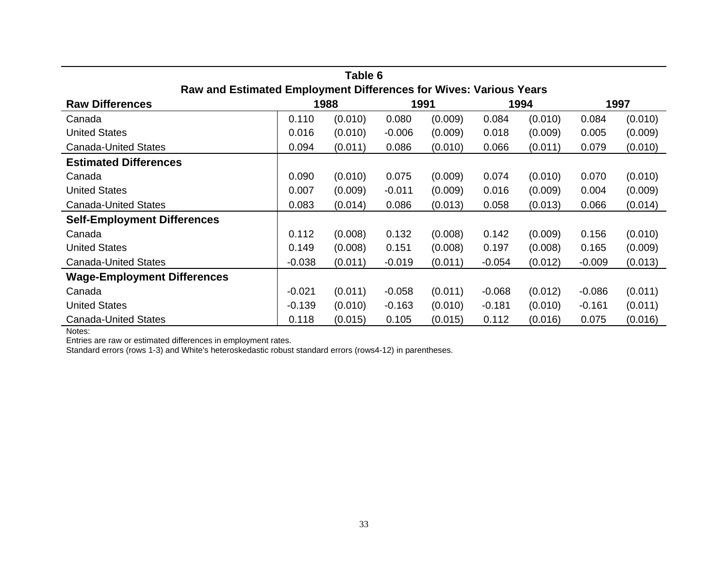| Table 6                            |                                                                   |         |          |         |          |         |          |         |  |  |
|------------------------------------|-------------------------------------------------------------------|---------|----------|---------|----------|---------|----------|---------|--|--|
|                                    | Raw and Estimated Employment Differences for Wives: Various Years |         |          |         |          |         |          |         |  |  |
| <b>Raw Differences</b>             |                                                                   | 1988    |          | 1991    |          | 1994    |          | 1997    |  |  |
| Canada                             | 0.110                                                             | (0.010) | 0.080    | (0.009) | 0.084    | (0.010) | 0.084    | (0.010) |  |  |
| <b>United States</b>               | 0.016                                                             | (0.010) | $-0.006$ | (0.009) | 0.018    | (0.009) | 0.005    | (0.009) |  |  |
| <b>Canada-United States</b>        | 0.094                                                             | (0.011) | 0.086    | (0.010) | 0.066    | (0.011) | 0.079    | (0.010) |  |  |
| <b>Estimated Differences</b>       |                                                                   |         |          |         |          |         |          |         |  |  |
| Canada                             | 0.090                                                             | (0.010) | 0.075    | (0.009) | 0.074    | (0.010) | 0.070    | (0.010) |  |  |
| <b>United States</b>               | 0.007                                                             | (0.009) | $-0.011$ | (0.009) | 0.016    | (0.009) | 0.004    | (0.009) |  |  |
| <b>Canada-United States</b>        | 0.083                                                             | (0.014) | 0.086    | (0.013) | 0.058    | (0.013) | 0.066    | (0.014) |  |  |
| <b>Self-Employment Differences</b> |                                                                   |         |          |         |          |         |          |         |  |  |
| Canada                             | 0.112                                                             | (0.008) | 0.132    | (0.008) | 0.142    | (0.009) | 0.156    | (0.010) |  |  |
| <b>United States</b>               | 0.149                                                             | (0.008) | 0.151    | (0.008) | 0.197    | (0.008) | 0.165    | (0.009) |  |  |
| <b>Canada-United States</b>        | $-0.038$                                                          | (0.011) | $-0.019$ | (0.011) | $-0.054$ | (0.012) | $-0.009$ | (0.013) |  |  |
| <b>Wage-Employment Differences</b> |                                                                   |         |          |         |          |         |          |         |  |  |
| Canada                             | $-0.021$                                                          | (0.011) | $-0.058$ | (0.011) | $-0.068$ | (0.012) | $-0.086$ | (0.011) |  |  |
| <b>United States</b>               | $-0.139$                                                          | (0.010) | $-0.163$ | (0.010) | $-0.181$ | (0.010) | $-0.161$ | (0.011) |  |  |
| <b>Canada-United States</b>        | 0.118                                                             | (0.015) | 0.105    | (0.015) | 0.112    | (0.016) | 0.075    | (0.016) |  |  |

Notes:

Entries are raw or estimated differences in employment rates.

Standard errors (rows 1-3) and White's heteroskedastic robust standard errors (rows4-12) in parentheses.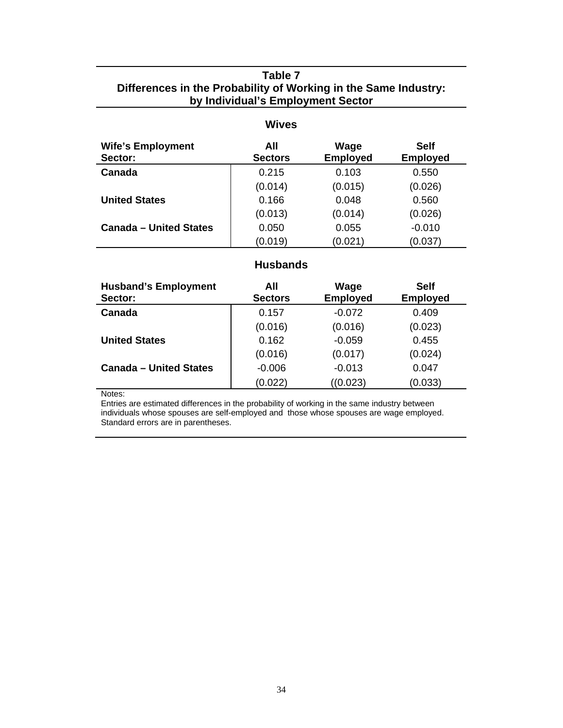## **Table 7 Differences in the Probability of Working in the Same Industry: by Individual's Employment Sector**

### **Wives**

| <b>Wife's Employment</b><br>Sector: | All<br><b>Sectors</b> | Wage<br><b>Employed</b> | <b>Self</b><br><b>Employed</b> |
|-------------------------------------|-----------------------|-------------------------|--------------------------------|
| Canada                              | 0.215                 | 0.103                   | 0.550                          |
|                                     | (0.014)               | (0.015)                 | (0.026)                        |
| <b>United States</b>                | 0.166                 | 0.048                   | 0.560                          |
|                                     | (0.013)               | (0.014)                 | (0.026)                        |
| <b>Canada - United States</b>       | 0.050                 | 0.055                   | $-0.010$                       |
|                                     | (0.019)               | (0.021)                 | (0.037)                        |

## **Husbands**

| <b>Husband's Employment</b><br>Sector: | All<br><b>Sectors</b> | Wage<br><b>Employed</b> | <b>Self</b><br><b>Employed</b> |
|----------------------------------------|-----------------------|-------------------------|--------------------------------|
| Canada                                 | 0.157                 | $-0.072$                | 0.409                          |
|                                        | (0.016)               | (0.016)                 | (0.023)                        |
| <b>United States</b>                   | 0.162                 | $-0.059$                | 0.455                          |
|                                        | (0.016)               | (0.017)                 | (0.024)                        |
| <b>Canada - United States</b>          | $-0.006$              | $-0.013$                | 0.047                          |
|                                        | (0.022)               | ((0.023)                | (0.033)                        |

Notes:

j.

Entries are estimated differences in the probability of working in the same industry between individuals whose spouses are self-employed and those whose spouses are wage employed. Standard errors are in parentheses.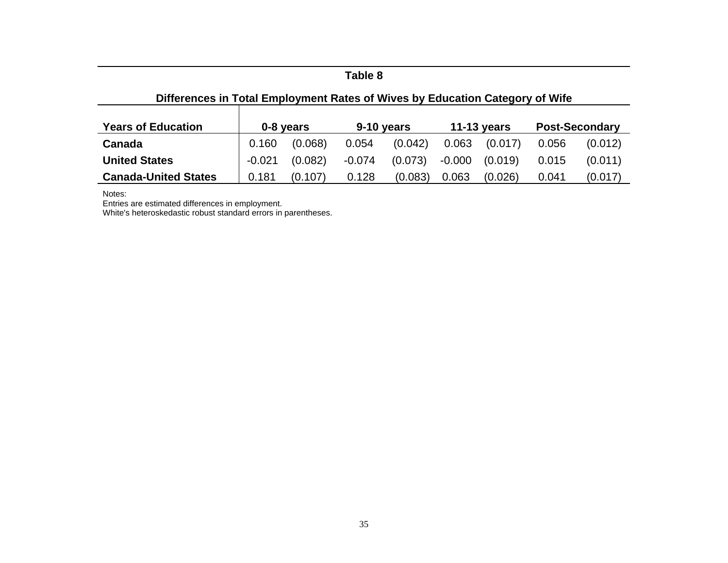### **Table 8**

## **Differences in Total Employment Rates of Wives by Education Category of Wife**

| <b>Years of Education</b>   | 0-8 years |         | 9-10 years |         | 11-13 years |         | <b>Post-Secondary</b> |         |
|-----------------------------|-----------|---------|------------|---------|-------------|---------|-----------------------|---------|
| Canada                      | 0.160     | (0.068) | 0.054      | (0.042) | 0.063       | (0.017) | 0.056                 | (0.012) |
| <b>United States</b>        | $-0.021$  | (0.082) | $-0.074$   | (0.073) | -0.000      | (0.019) | 0.015                 | (0.011) |
| <b>Canada-United States</b> | 0.181     | (0.107) | 0.128      | (0.083) | 0.063       | (0.026) | 0.041                 | (0.017) |

Notes: Entries are estimated differences in employment.

White's heteroskedastic robust standard errors in parentheses.